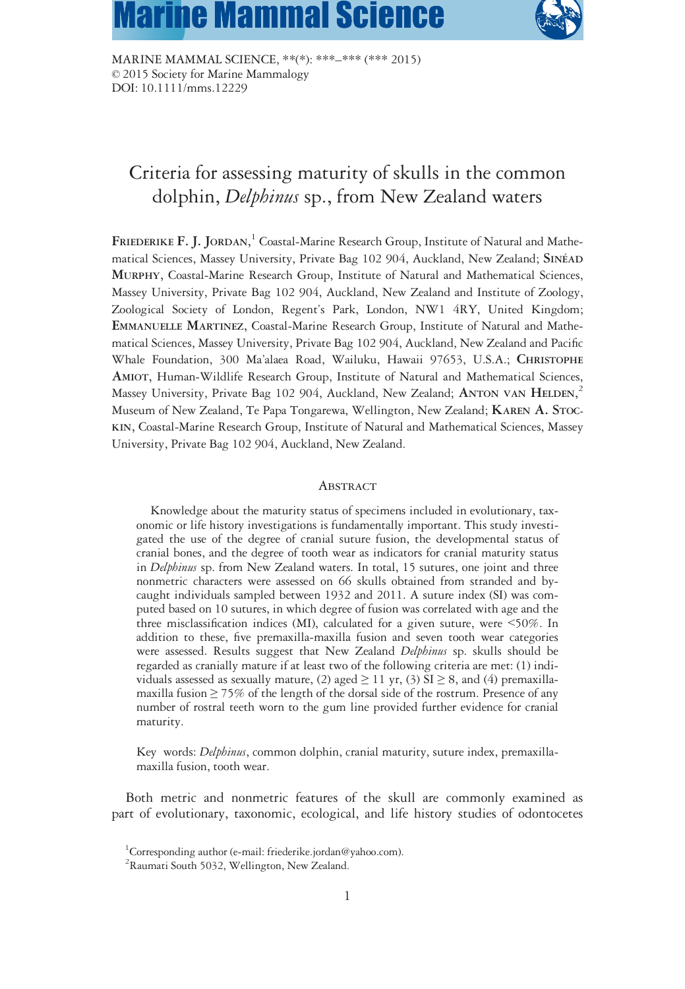# **Marine Mammal Science**



MARINE MAMMAL SCIENCE, \*\*(\*): \*\*\*–\*\*\* (\*\*\* 2015) © 2015 Society for Marine Mammalogy DOI: 10.1111/mms.12229

# Criteria for assessing maturity of skulls in the common dolphin, Delphinus sp., from New Zealand waters

FRIEDERIKE F. J. JORDAN, <sup>1</sup> Coastal-Marine Research Group, Institute of Natural and Mathematical Sciences, Massey University, Private Bag 102 904, Auckland, New Zealand; SINÉAD MURPHY, Coastal-Marine Research Group, Institute of Natural and Mathematical Sciences, Massey University, Private Bag 102 904, Auckland, New Zealand and Institute of Zoology, Zoological Society of London, Regent's Park, London, NW1 4RY, United Kingdom; EMMANUELLE MARTINEZ, Coastal-Marine Research Group, Institute of Natural and Mathematical Sciences, Massey University, Private Bag 102 904, Auckland, New Zealand and Pacific Whale Foundation, 300 Ma'alaea Road, Wailuku, Hawaii 97653, U.S.A.; CHRISTOPHE AMIOT, Human-Wildlife Research Group, Institute of Natural and Mathematical Sciences, Massey University, Private Bag 102 904, Auckland, New Zealand; ANTON VAN  $\rm{HELDEN},^2$ Museum of New Zealand, Te Papa Tongarewa, Wellington, New Zealand; KAREN A. STOC-KIN, Coastal-Marine Research Group, Institute of Natural and Mathematical Sciences, Massey University, Private Bag 102 904, Auckland, New Zealand.

#### **ABSTRACT**

Knowledge about the maturity status of specimens included in evolutionary, taxonomic or life history investigations is fundamentally important. This study investigated the use of the degree of cranial suture fusion, the developmental status of cranial bones, and the degree of tooth wear as indicators for cranial maturity status in Delphinus sp. from New Zealand waters. In total, 15 sutures, one joint and three nonmetric characters were assessed on 66 skulls obtained from stranded and bycaught individuals sampled between 1932 and 2011. A suture index (SI) was computed based on 10 sutures, in which degree of fusion was correlated with age and the three misclassification indices (MI), calculated for a given suture, were <50%. In addition to these, five premaxilla-maxilla fusion and seven tooth wear categories were assessed. Results suggest that New Zealand Delphinus sp. skulls should be regarded as cranially mature if at least two of the following criteria are met: (1) individuals assessed as sexually mature, (2) aged  $\geq$  11 yr, (3) SI  $\geq$  8, and (4) premaxillamaxilla fusion ≥ 75% of the length of the dorsal side of the rostrum. Presence of any number of rostral teeth worn to the gum line provided further evidence for cranial maturity.

Key words: Delphinus, common dolphin, cranial maturity, suture index, premaxillamaxilla fusion, tooth wear.

Both metric and nonmetric features of the skull are commonly examined as part of evolutionary, taxonomic, ecological, and life history studies of odontocetes

<sup>&</sup>lt;sup>1</sup>Corresponding author (e-mail: [friederike.jordan@yahoo.com](mailto:friederike.jordan@yahoo.com)).

<sup>&</sup>lt;sup>2</sup> Raumati South 5032, Wellington, New Zealand.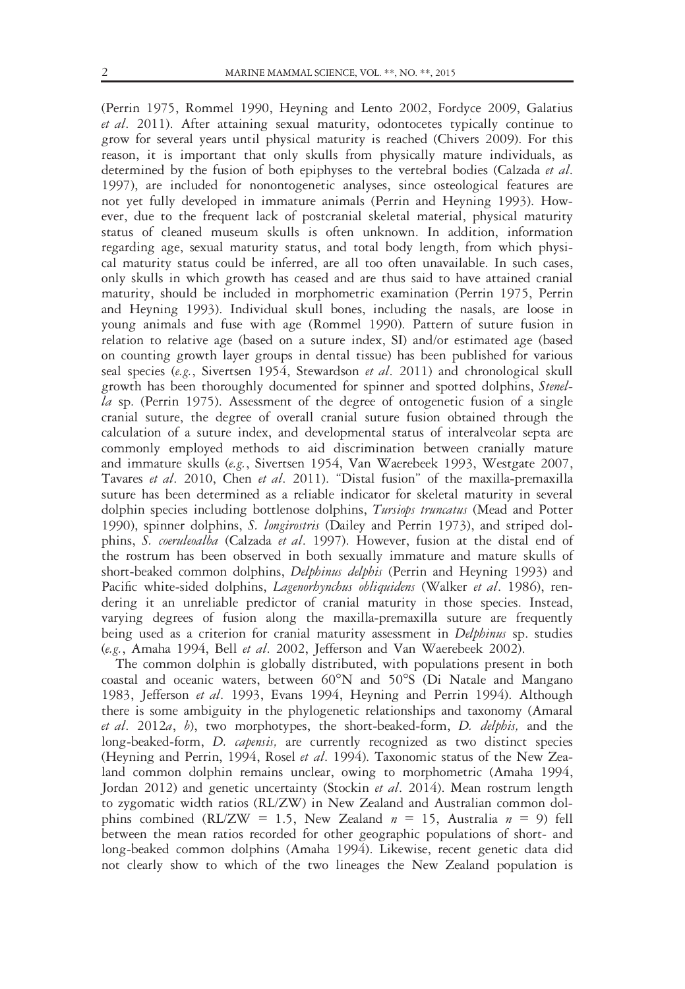(Perrin 1975, Rommel 1990, Heyning and Lento 2002, Fordyce 2009, Galatius  $et$  al. 2011). After attaining sexual maturity, odontocetes typically continue to grow for several years until physical maturity is reached (Chivers 2009). For this reason, it is important that only skulls from physically mature individuals, as determined by the fusion of both epiphyses to the vertebral bodies (Calzada *et al.*) 1997), are included for nonontogenetic analyses, since osteological features are not yet fully developed in immature animals (Perrin and Heyning 1993). However, due to the frequent lack of postcranial skeletal material, physical maturity status of cleaned museum skulls is often unknown. In addition, information regarding age, sexual maturity status, and total body length, from which physical maturity status could be inferred, are all too often unavailable. In such cases, only skulls in which growth has ceased and are thus said to have attained cranial maturity, should be included in morphometric examination (Perrin 1975, Perrin and Heyning 1993). Individual skull bones, including the nasals, are loose in young animals and fuse with age (Rommel 1990). Pattern of suture fusion in relation to relative age (based on a suture index, SI) and/or estimated age (based on counting growth layer groups in dental tissue) has been published for various seal species (e.g., Sivertsen 1954, Stewardson et al. 2011) and chronological skull growth has been thoroughly documented for spinner and spotted dolphins, Stenella sp. (Perrin 1975). Assessment of the degree of ontogenetic fusion of a single cranial suture, the degree of overall cranial suture fusion obtained through the calculation of a suture index, and developmental status of interalveolar septa are commonly employed methods to aid discrimination between cranially mature and immature skulls (e.g., Sivertsen 1954, Van Waerebeek 1993, Westgate 2007, Tavares et al. 2010, Chen et al. 2011). "Distal fusion" of the maxilla-premaxilla suture has been determined as a reliable indicator for skeletal maturity in several dolphin species including bottlenose dolphins, *Tursiops truncatus* (Mead and Potter 1990), spinner dolphins, S. longirostris (Dailey and Perrin 1973), and striped dolphins, S. coeruleoalba (Calzada et al. 1997). However, fusion at the distal end of the rostrum has been observed in both sexually immature and mature skulls of short-beaked common dolphins, *Delphinus delphis* (Perrin and Heyning 1993) and Pacific white-sided dolphins, Lagenorhynchus obliquidens (Walker et al. 1986), rendering it an unreliable predictor of cranial maturity in those species. Instead, varying degrees of fusion along the maxilla-premaxilla suture are frequently being used as a criterion for cranial maturity assessment in *Delphinus* sp. studies (e.g., Amaha 1994, Bell et al. 2002, Jefferson and Van Waerebeek 2002).

The common dolphin is globally distributed, with populations present in both coastal and oceanic waters, between  $60^{\circ}$ N and  $50^{\circ}$ S (Di Natale and Mangano 1983, Jefferson et al. 1993, Evans 1994, Heyning and Perrin 1994). Although there is some ambiguity in the phylogenetic relationships and taxonomy (Amaral et al.  $2012a$ , b), two morphotypes, the short-beaked-form, D. delphis, and the long-beaked-form, *D. capensis*, are currently recognized as two distinct species (Heyning and Perrin, 1994, Rosel et al. 1994). Taxonomic status of the New Zealand common dolphin remains unclear, owing to morphometric (Amaha 1994, Jordan 2012) and genetic uncertainty (Stockin et al. 2014). Mean rostrum length to zygomatic width ratios (RL/ZW) in New Zealand and Australian common dolphins combined (RL/ZW = 1.5, New Zealand  $n = 15$ , Australia  $n = 9$ ) fell between the mean ratios recorded for other geographic populations of short- and long-beaked common dolphins (Amaha 1994). Likewise, recent genetic data did not clearly show to which of the two lineages the New Zealand population is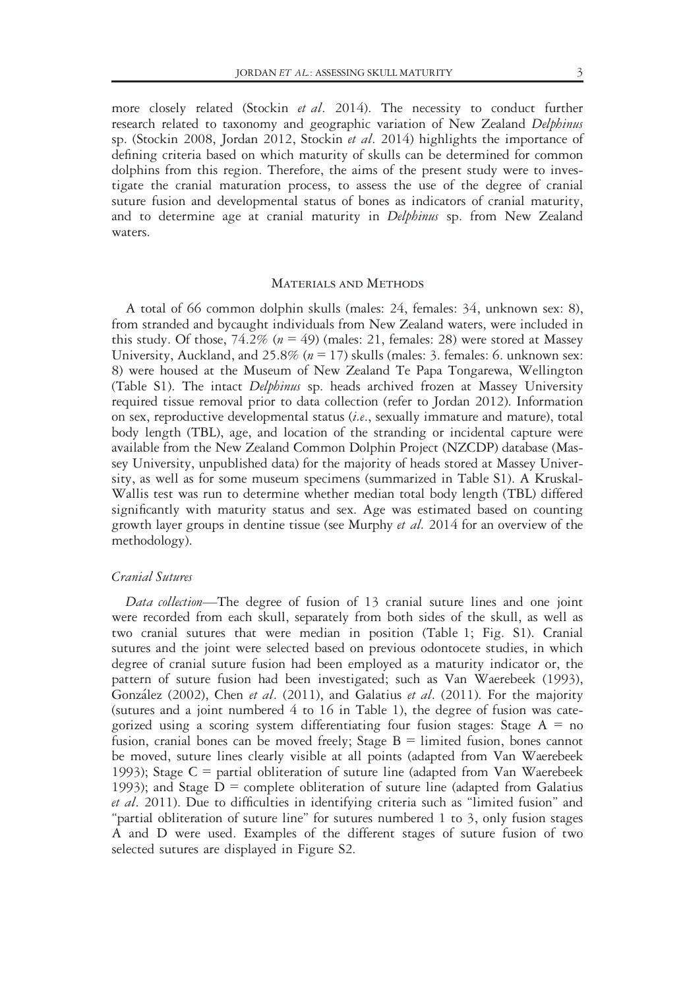more closely related (Stockin *et al.* 2014). The necessity to conduct further research related to taxonomy and geographic variation of New Zealand Delphinus sp. (Stockin 2008, Jordan 2012, Stockin et al. 2014) highlights the importance of defining criteria based on which maturity of skulls can be determined for common dolphins from this region. Therefore, the aims of the present study were to investigate the cranial maturation process, to assess the use of the degree of cranial suture fusion and developmental status of bones as indicators of cranial maturity, and to determine age at cranial maturity in *Delphinus* sp. from New Zealand waters.

# Materials and Methods

A total of 66 common dolphin skulls (males: 24, females: 34, unknown sex: 8), from stranded and bycaught individuals from New Zealand waters, were included in this study. Of those,  $74.2\%$  ( $n = 49$ ) (males: 21, females: 28) were stored at Massey University, Auckland, and 25.8% ( $n = 17$ ) skulls (males: 3. females: 6. unknown sex: 8) were housed at the Museum of New Zealand Te Papa Tongarewa, Wellington (Table S1). The intact Delphinus sp. heads archived frozen at Massey University required tissue removal prior to data collection (refer to Jordan 2012). Information on sex, reproductive developmental status (i.e., sexually immature and mature), total body length (TBL), age, and location of the stranding or incidental capture were available from the New Zealand Common Dolphin Project (NZCDP) database (Massey University, unpublished data) for the majority of heads stored at Massey University, as well as for some museum specimens (summarized in Table S1). A Kruskal-Wallis test was run to determine whether median total body length (TBL) differed significantly with maturity status and sex. Age was estimated based on counting growth layer groups in dentine tissue (see Murphy et al. 2014 for an overview of the methodology).

# Cranial Sutures

Data collection—The degree of fusion of 13 cranial suture lines and one joint were recorded from each skull, separately from both sides of the skull, as well as two cranial sutures that were median in position (Table 1; Fig. S1). Cranial sutures and the joint were selected based on previous odontocete studies, in which degree of cranial suture fusion had been employed as a maturity indicator or, the pattern of suture fusion had been investigated; such as Van Waerebeek (1993), González (2002), Chen et al. (2011), and Galatius et al. (2011). For the majority (sutures and a joint numbered 4 to 16 in Table 1), the degree of fusion was categorized using a scoring system differentiating four fusion stages: Stage  $A = no$ fusion, cranial bones can be moved freely; Stage  $B =$  limited fusion, bones cannot be moved, suture lines clearly visible at all points (adapted from Van Waerebeek 1993); Stage  $C =$  partial obliteration of suture line (adapted from Van Waerebeek 1993); and Stage  $D =$  complete obliteration of suture line (adapted from Galatius et al. 2011). Due to difficulties in identifying criteria such as "limited fusion" and "partial obliteration of suture line" for sutures numbered 1 to 3, only fusion stages A and D were used. Examples of the different stages of suture fusion of two selected sutures are displayed in Figure S2.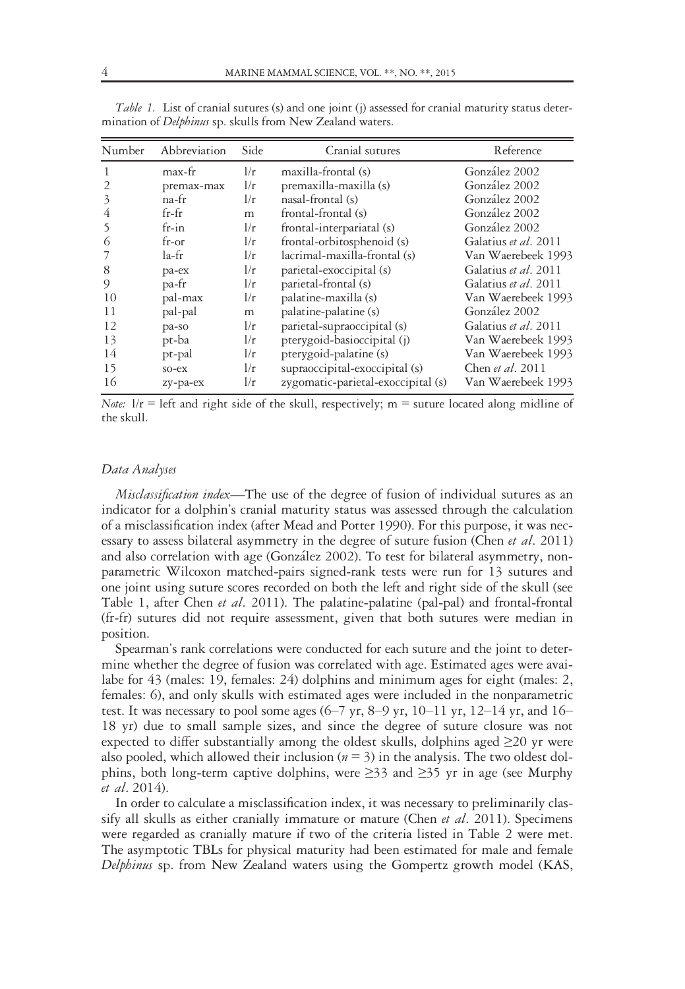| Number                   | Abbreviation | Side | Cranial sutures                    | Reference            |
|--------------------------|--------------|------|------------------------------------|----------------------|
| 1                        | max-fr       | 1/r  | maxilla-frontal (s)                | González 2002        |
| 2                        | premax-max   | 1/r  | premaxilla-maxilla (s)             | González 2002        |
| $\overline{\mathcal{E}}$ | $na$ -fr     | 1/r  | nasal-frontal (s)                  | González 2002        |
| 4                        | $fr-fr$      | m    | frontal-frontal (s)                | González 2002        |
|                          | $fr-in$      | 1/r  | frontal-interpariatal (s)          | González 2002        |
| 6                        | $fr-or$      | 1/r  | frontal-orbitosphenoid (s)         | Galatius et al. 2011 |
|                          | la-fr        | 1/r  | lacrimal-maxilla-frontal (s)       | Van Waerebeek 1993   |
| 8                        | pa-ex        | 1/r  | parietal-exoccipital (s)           | Galatius et al. 2011 |
| 9                        | pa-fr        | 1/r  | parietal-frontal (s)               | Galatius et al. 2011 |
| 10                       | pal-max      | 1/r  | palatine-maxilla (s)               | Van Waerebeek 1993   |
| 11                       | pal-pal      | m    | palatine-palatine (s)              | González 2002        |
| 12                       | pa-so        | 1/r  | parietal-supraoccipital (s)        | Galatius et al. 2011 |
| 13                       | pt-ba        | 1/r  | pterygoid-basioccipital (j)        | Van Waerebeek 1993   |
| 14                       | pt-pal       | 1/r  | pterygoid-palatine (s)             | Van Waerebeek 1993   |
| 15                       | so-ex        | 1/r  | supraoccipital-exoccipital (s)     | Chen et al. 2011     |
| 16                       | zy-pa-ex     | 1/r  | zygomatic-parietal-exoccipital (s) | Van Waerebeek 1993   |

Table 1. List of cranial sutures (s) and one joint (j) assessed for cranial maturity status determination of Delphinus sp. skulls from New Zealand waters.

Note:  $1/r$  = left and right side of the skull, respectively; m = suture located along midline of the skull.

#### Data Analyses

Misclassification index—The use of the degree of fusion of individual sutures as an indicator for a dolphin's cranial maturity status was assessed through the calculation of a misclassification index (after Mead and Potter 1990). For this purpose, it was necessary to assess bilateral asymmetry in the degree of suture fusion (Chen et al. 2011) and also correlation with age (González 2002). To test for bilateral asymmetry, nonparametric Wilcoxon matched-pairs signed-rank tests were run for 13 sutures and one joint using suture scores recorded on both the left and right side of the skull (see Table 1, after Chen et al. 2011). The palatine-palatine (pal-pal) and frontal-frontal (fr-fr) sutures did not require assessment, given that both sutures were median in position.

Spearman's rank correlations were conducted for each suture and the joint to determine whether the degree of fusion was correlated with age. Estimated ages were availabe for 43 (males: 19, females: 24) dolphins and minimum ages for eight (males: 2, females: 6), and only skulls with estimated ages were included in the nonparametric test. It was necessary to pool some ages (6–7 yr, 8–9 yr, 10–11 yr, 12–14 yr, and 16– 18 yr) due to small sample sizes, and since the degree of suture closure was not expected to differ substantially among the oldest skulls, dolphins aged  $\geq$ 20 yr were also pooled, which allowed their inclusion ( $n = 3$ ) in the analysis. The two oldest dolphins, both long-term captive dolphins, were  $\geq$ 33 and  $\geq$ 35 yr in age (see Murphy et al. 2014).

In order to calculate a misclassification index, it was necessary to preliminarily classify all skulls as either cranially immature or mature (Chen et al. 2011). Specimens were regarded as cranially mature if two of the criteria listed in Table 2 were met. The asymptotic TBLs for physical maturity had been estimated for male and female Delphinus sp. from New Zealand waters using the Gompertz growth model (KAS,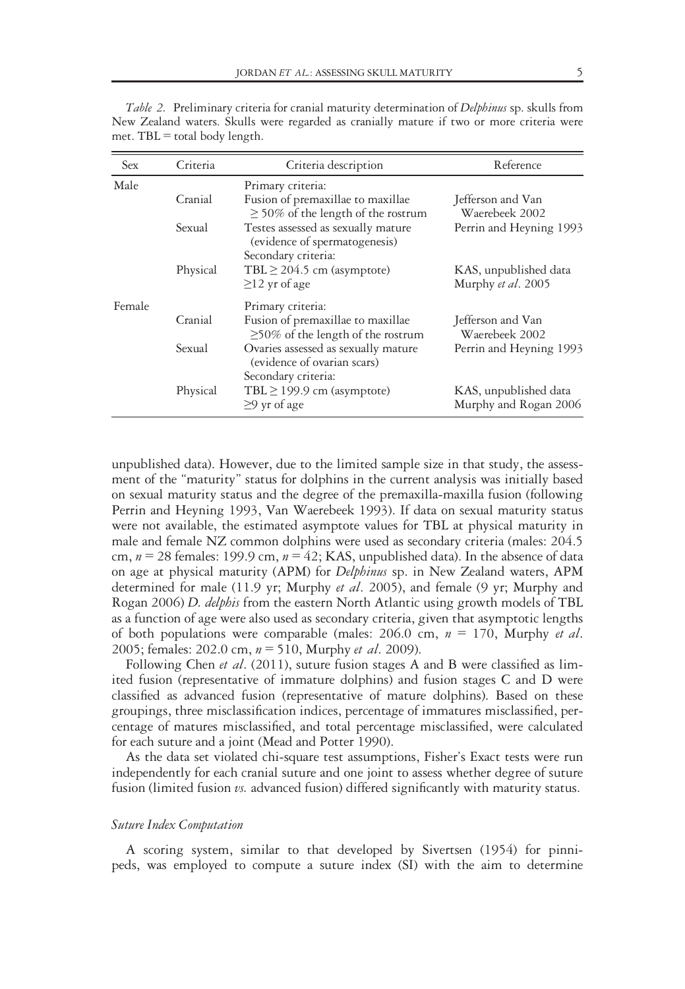| Sex    | Criteria | Criteria description                                                                       | Reference                                      |
|--------|----------|--------------------------------------------------------------------------------------------|------------------------------------------------|
| Male   |          | Primary criteria:                                                                          |                                                |
|        | Cranial  | Fusion of premaxillae to maxillae<br>$\geq$ 50% of the length of the rostrum               | Jefferson and Van<br>Waerebeek 2002            |
|        | Sexual   | Testes assessed as sexually mature<br>(evidence of spermatogenesis)<br>Secondary criteria: | Perrin and Heyning 1993                        |
|        | Physical | TBL $\geq$ 204.5 cm (asymptote)<br>$\geq$ 12 yr of age                                     | KAS, unpublished data<br>Murphy et al. 2005    |
| Female |          | Primary criteria:                                                                          |                                                |
|        | Cranial  | Fusion of premaxillae to maxillae<br>$\geq$ 50% of the length of the rostrum               | Jefferson and Van<br>Waerebeek 2002            |
|        | Sexual   | Ovaries assessed as sexually mature<br>(evidence of ovarian scars)                         | Perrin and Heyning 1993                        |
|        | Physical | Secondary criteria:<br>TBL $\geq$ 199.9 cm (asymptote)<br>$\geq$ 9 yr of age               | KAS, unpublished data<br>Murphy and Rogan 2006 |

Table 2. Preliminary criteria for cranial maturity determination of Delphinus sp. skulls from New Zealand waters. Skulls were regarded as cranially mature if two or more criteria were met.  $TBL =$  total body length.

unpublished data). However, due to the limited sample size in that study, the assessment of the "maturity" status for dolphins in the current analysis was initially based on sexual maturity status and the degree of the premaxilla-maxilla fusion (following Perrin and Heyning 1993, Van Waerebeek 1993). If data on sexual maturity status were not available, the estimated asymptote values for TBL at physical maturity in male and female NZ common dolphins were used as secondary criteria (males: 204.5 cm,  $n = 28$  females: 199.9 cm,  $n = 42$ ; KAS, unpublished data). In the absence of data on age at physical maturity (APM) for *Delphinus* sp. in New Zealand waters, APM determined for male (11.9 yr; Murphy et al. 2005), and female (9 yr; Murphy and Rogan 2006) D. delphis from the eastern North Atlantic using growth models of TBL as a function of age were also used as secondary criteria, given that asymptotic lengths of both populations were comparable (males: 206.0 cm,  $n = 170$ , Murphy *et al.* 2005; females: 202.0 cm,  $n = 510$ , Murphy *et al.* 2009).

Following Chen et al. (2011), suture fusion stages A and B were classified as limited fusion (representative of immature dolphins) and fusion stages C and D were classified as advanced fusion (representative of mature dolphins). Based on these groupings, three misclassification indices, percentage of immatures misclassified, percentage of matures misclassified, and total percentage misclassified, were calculated for each suture and a joint (Mead and Potter 1990).

As the data set violated chi-square test assumptions, Fisher's Exact tests were run independently for each cranial suture and one joint to assess whether degree of suture fusion (limited fusion  $\nu s$ . advanced fusion) differed significantly with maturity status.

#### Suture Index Computation

A scoring system, similar to that developed by Sivertsen (1954) for pinnipeds, was employed to compute a suture index (SI) with the aim to determine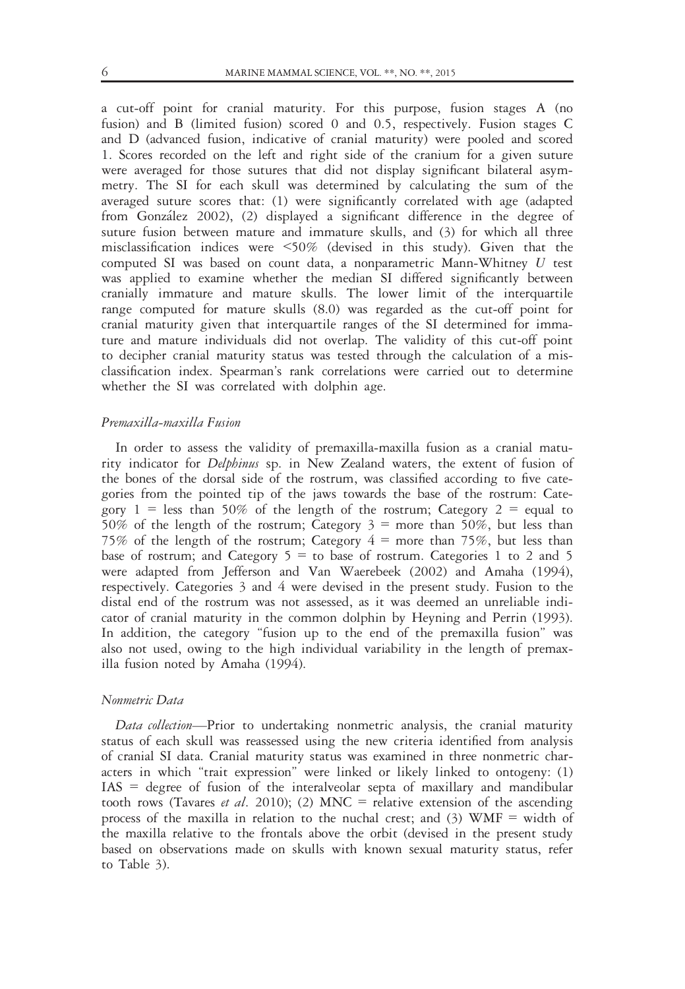a cut-off point for cranial maturity. For this purpose, fusion stages A (no fusion) and B (limited fusion) scored 0 and 0.5, respectively. Fusion stages C and D (advanced fusion, indicative of cranial maturity) were pooled and scored 1. Scores recorded on the left and right side of the cranium for a given suture were averaged for those sutures that did not display significant bilateral asymmetry. The SI for each skull was determined by calculating the sum of the averaged suture scores that: (1) were significantly correlated with age (adapted from González 2002), (2) displayed a significant difference in the degree of suture fusion between mature and immature skulls, and (3) for which all three misclassification indices were <50% (devised in this study). Given that the computed SI was based on count data, a nonparametric Mann-Whitney U test was applied to examine whether the median SI differed significantly between cranially immature and mature skulls. The lower limit of the interquartile range computed for mature skulls (8.0) was regarded as the cut-off point for cranial maturity given that interquartile ranges of the SI determined for immature and mature individuals did not overlap. The validity of this cut-off point to decipher cranial maturity status was tested through the calculation of a misclassification index. Spearman's rank correlations were carried out to determine whether the SI was correlated with dolphin age.

#### Premaxilla-maxilla Fusion

In order to assess the validity of premaxilla-maxilla fusion as a cranial maturity indicator for Delphinus sp. in New Zealand waters, the extent of fusion of the bones of the dorsal side of the rostrum, was classified according to five categories from the pointed tip of the jaws towards the base of the rostrum: Category  $1 =$  less than 50% of the length of the rostrum; Category  $2 =$  equal to 50% of the length of the rostrum; Category  $3 =$  more than 50%, but less than 75% of the length of the rostrum; Category  $4 \equiv$  more than 75%, but less than base of rostrum; and Category  $5 =$  to base of rostrum. Categories 1 to 2 and 5 were adapted from Jefferson and Van Waerebeek (2002) and Amaha (1994), respectively. Categories 3 and 4 were devised in the present study. Fusion to the distal end of the rostrum was not assessed, as it was deemed an unreliable indicator of cranial maturity in the common dolphin by Heyning and Perrin (1993). In addition, the category "fusion up to the end of the premaxilla fusion" was also not used, owing to the high individual variability in the length of premaxilla fusion noted by Amaha (1994).

# Nonmetric Data

Data collection-Prior to undertaking nonmetric analysis, the cranial maturity status of each skull was reassessed using the new criteria identified from analysis of cranial SI data. Cranial maturity status was examined in three nonmetric characters in which "trait expression" were linked or likely linked to ontogeny: (1) IAS = degree of fusion of the interalveolar septa of maxillary and mandibular tooth rows (Tavares *et al.* 2010); (2) MNC = relative extension of the ascending process of the maxilla in relation to the nuchal crest; and  $(3)$  WMF = width of the maxilla relative to the frontals above the orbit (devised in the present study based on observations made on skulls with known sexual maturity status, refer to Table 3).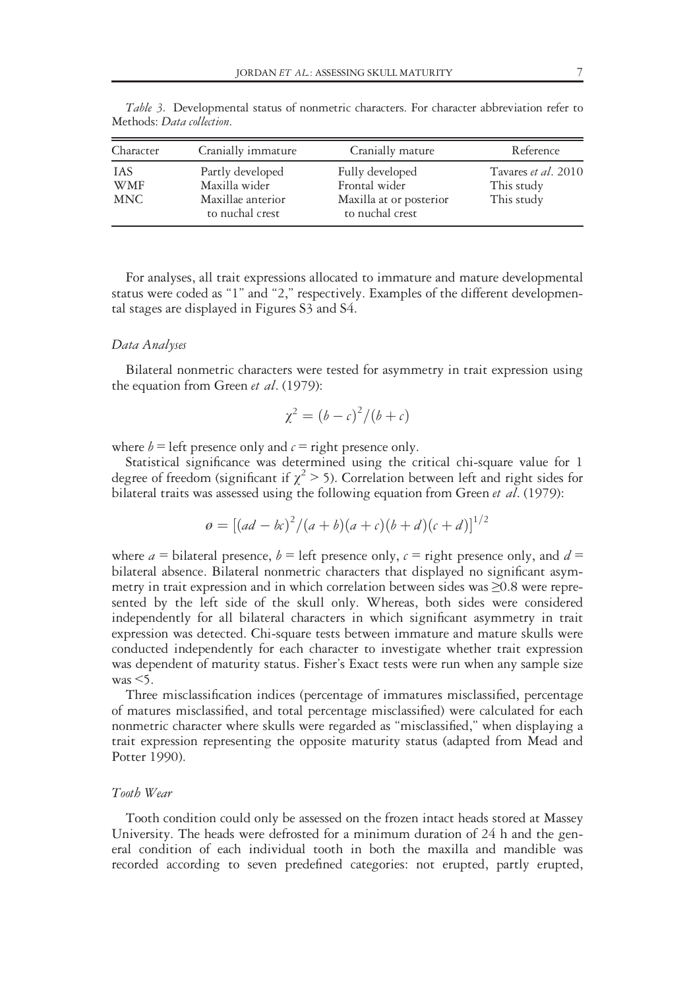| <b>IAS</b>        | Cranially immature                                                        | Cranially mature                                                               | Reference                                       |
|-------------------|---------------------------------------------------------------------------|--------------------------------------------------------------------------------|-------------------------------------------------|
| WMF<br><b>MNC</b> | Partly developed<br>Maxilla wider<br>Maxillae anterior<br>to nuchal crest | Fully developed<br>Frontal wider<br>Maxilla at or posterior<br>to nuchal crest | Tavares et al. 2010<br>This study<br>This study |

Table 3. Developmental status of nonmetric characters. For character abbreviation refer to Methods: Data collection.

For analyses, all trait expressions allocated to immature and mature developmental status were coded as "1" and "2," respectively. Examples of the different developmental stages are displayed in Figures S3 and S4.

#### Data Analyses

Bilateral nonmetric characters were tested for asymmetry in trait expression using the equation from Green et al. (1979):

$$
\chi^2 = (b - c)^2 / (b + c)
$$

where  $b =$  left presence only and  $c =$  right presence only.

Statistical significance was determined using the critical chi-square value for 1 degree of freedom (significant if  $\chi^2$  > 5). Correlation between left and right sides for bilateral traits was assessed using the following equation from Green et al. (1979):

$$
\varrho = [(ad - bc)^{2}/(a + b)(a + c)(b + d)(c + d)]^{1/2}
$$

where  $a = b$  ilateral presence,  $b = \text{left}$  presence only,  $c = \text{right}$  presence only, and  $d =$ bilateral absence. Bilateral nonmetric characters that displayed no significant asymmetry in trait expression and in which correlation between sides was ≥0.8 were represented by the left side of the skull only. Whereas, both sides were considered independently for all bilateral characters in which significant asymmetry in trait expression was detected. Chi-square tests between immature and mature skulls were conducted independently for each character to investigate whether trait expression was dependent of maturity status. Fisher's Exact tests were run when any sample size  $was < 5$ .

Three misclassification indices (percentage of immatures misclassified, percentage of matures misclassified, and total percentage misclassified) were calculated for each nonmetric character where skulls were regarded as "misclassified," when displaying a trait expression representing the opposite maturity status (adapted from Mead and Potter 1990).

# Tooth Wear

Tooth condition could only be assessed on the frozen intact heads stored at Massey University. The heads were defrosted for a minimum duration of 24 h and the general condition of each individual tooth in both the maxilla and mandible was recorded according to seven predefined categories: not erupted, partly erupted,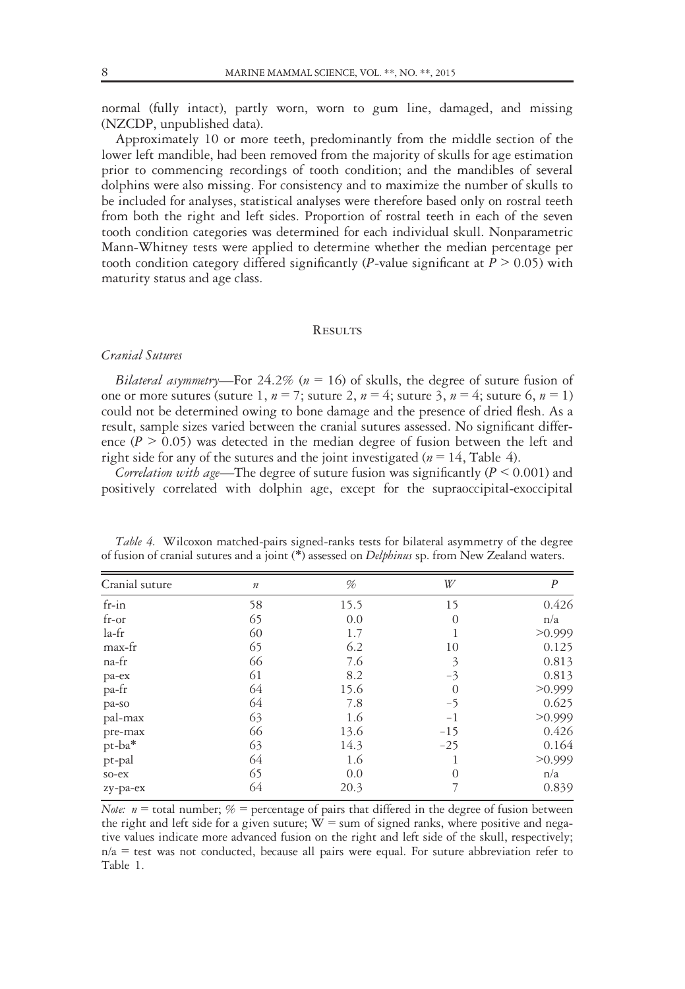normal (fully intact), partly worn, worn to gum line, damaged, and missing (NZCDP, unpublished data).

Approximately 10 or more teeth, predominantly from the middle section of the lower left mandible, had been removed from the majority of skulls for age estimation prior to commencing recordings of tooth condition; and the mandibles of several dolphins were also missing. For consistency and to maximize the number of skulls to be included for analyses, statistical analyses were therefore based only on rostral teeth from both the right and left sides. Proportion of rostral teeth in each of the seven tooth condition categories was determined for each individual skull. Nonparametric Mann-Whitney tests were applied to determine whether the median percentage per tooth condition category differed significantly (*P*-value significant at  $P > 0.05$ ) with maturity status and age class.

#### **RESULTS**

#### Cranial Sutures

Bilateral asymmetry—For 24.2% ( $n = 16$ ) of skulls, the degree of suture fusion of one or more sutures (suture 1,  $n = 7$ ; suture 2,  $n = 4$ ; suture 3,  $n = 4$ ; suture 6,  $n = 1$ ) could not be determined owing to bone damage and the presence of dried flesh. As a result, sample sizes varied between the cranial sutures assessed. No significant difference ( $P > 0.05$ ) was detected in the median degree of fusion between the left and right side for any of the sutures and the joint investigated ( $n = 14$ , Table 4).

Correlation with age—The degree of suture fusion was significantly ( $P \le 0.001$ ) and positively correlated with dolphin age, except for the supraoccipital-exoccipital

| Cranial suture | $\boldsymbol{n}$ | %    | W        | $\boldsymbol{P}$ |
|----------------|------------------|------|----------|------------------|
| $fr-in$        | 58               | 15.5 | 15       | 0.426            |
| $fr-or$        | 65               | 0.0  | $\theta$ | n/a              |
| la-fr          | 60               | 1.7  |          | >0.999           |
| max-fr         | 65               | 6.2  | 10       | 0.125            |
| na-fr          | 66               | 7.6  | 3        | 0.813            |
| pa-ex          | 61               | 8.2  | $-3$     | 0.813            |
| pa-fr          | 64               | 15.6 | $\theta$ | >0.999           |
| pa-so          | 64               | 7.8  | $-5$     | 0.625            |
| pal-max        | 63               | 1.6  | $^{-1}$  | >0.999           |
| pre-max        | 66               | 13.6 | $-15$    | 0.426            |
| pt-ba*         | 63               | 14.3 | $-25$    | 0.164            |
| pt-pal         | 64               | 1.6  |          | >0.999           |
| $so-ex$        | 65               | 0.0  | $\theta$ | n/a              |
| zy-pa-ex       | 64               | 20.3 |          | 0.839            |
|                |                  |      |          |                  |

Table 4. Wilcoxon matched-pairs signed-ranks tests for bilateral asymmetry of the degree of fusion of cranial sutures and a joint (\*) assessed on *Delphinus* sp. from New Zealand waters.

Note:  $n =$  total number;  $\% =$  percentage of pairs that differed in the degree of fusion between the right and left side for a given suture;  $W = \text{sum}$  of signed ranks, where positive and negative values indicate more advanced fusion on the right and left side of the skull, respectively;  $n/a$  = test was not conducted, because all pairs were equal. For suture abbreviation refer to Table 1.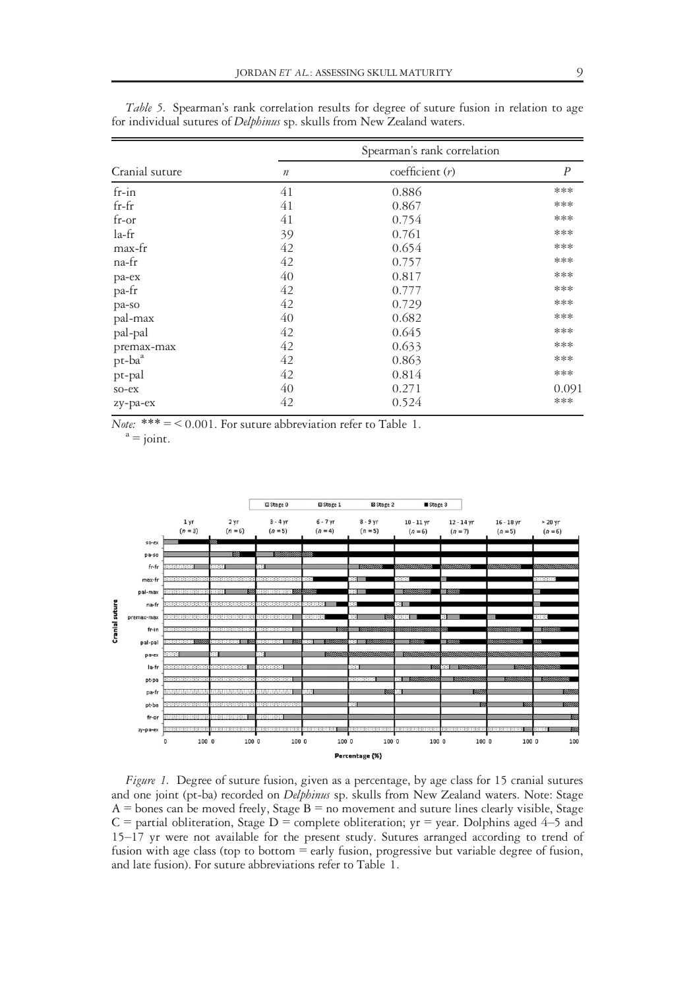|                |                  | Spearman's rank correlation |                  |
|----------------|------------------|-----------------------------|------------------|
| Cranial suture | $\boldsymbol{n}$ | coefficient $(r)$           | $\boldsymbol{P}$ |
| $fr-in$        | 41               | 0.886                       | ***              |
| $fr-fr$        | 41               | 0.867                       | ***              |
| $fr-or$        | 41               | 0.754                       | ***              |
| la-fr          | 39               | 0.761                       | ***              |
| max-fr         | 42               | 0.654                       | ***              |
| na-fr          | 42               | 0.757                       | ***              |
| pa-ex          | 40               | 0.817                       | ***              |
| pa-fr          | 42               | 0.777                       | ***              |
| pa-so          | 42               | 0.729                       | ***              |
| pal-max        | 40               | 0.682                       | ***              |
| pal-pal        | 42               | 0.645                       | ***              |
| premax-max     | 42               | 0.633                       | ***              |
| $pt-baa$       | 42               | 0.863                       | ***              |
| pt-pal         | 42               | 0.814                       | ***              |
| $so-ex$        | 40               | 0.271                       | 0.091            |
| zy-pa-ex       | 42               | 0.524                       | ***              |

Table 5. Spearman's rank correlation results for degree of suture fusion in relation to age for individual sutures of Delphinus sp. skulls from New Zealand waters.

 $\overline{Note:} \begin{array}{l} \ast \ast \ast = < 0.001. \; \mathrm{For} \; \mathrm{surface} \; \; \mathrm{refer} \; \mathrm{to} \; \mathrm{Table} \; \, 1. \\ \mathrm{a} = \mathrm{joint}. \end{array}$ 



Figure 1. Degree of suture fusion, given as a percentage, by age class for 15 cranial sutures and one joint (pt-ba) recorded on Delphinus sp. skulls from New Zealand waters. Note: Stage  $A =$ bones can be moved freely, Stage  $B =$  no movement and suture lines clearly visible, Stage  $C$  = partial obliteration, Stage D = complete obliteration; yr = year. Dolphins aged 4–5 and 15–17 yr were not available for the present study. Sutures arranged according to trend of fusion with age class (top to bottom = early fusion, progressive but variable degree of fusion, and late fusion). For suture abbreviations refer to Table 1.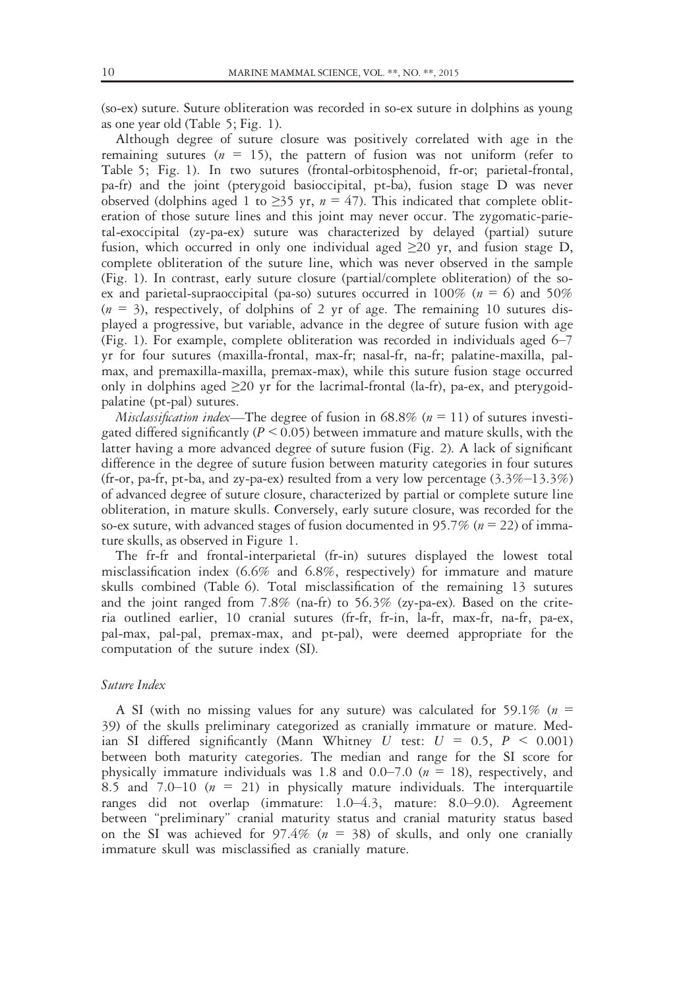(so-ex) suture. Suture obliteration was recorded in so-ex suture in dolphins as young as one year old (Table 5; Fig. 1).

Although degree of suture closure was positively correlated with age in the remaining sutures ( $n = 15$ ), the pattern of fusion was not uniform (refer to Table 5; Fig. 1). In two sutures (frontal-orbitosphenoid, fr-or; parietal-frontal, pa-fr) and the joint (pterygoid basioccipital, pt-ba), fusion stage D was never observed (dolphins aged 1 to  $\geq$ 35 yr,  $n = 47$ ). This indicated that complete obliteration of those suture lines and this joint may never occur. The zygomatic-parietal-exoccipital (zy-pa-ex) suture was characterized by delayed (partial) suture fusion, which occurred in only one individual aged  $\geq$ 20 yr, and fusion stage D, complete obliteration of the suture line, which was never observed in the sample (Fig. 1). In contrast, early suture closure (partial/complete obliteration) of the soex and parietal-supraoccipital (pa-so) sutures occurred in 100% ( $n = 6$ ) and 50%  $(n = 3)$ , respectively, of dolphins of 2 yr of age. The remaining 10 sutures displayed a progressive, but variable, advance in the degree of suture fusion with age (Fig. 1). For example, complete obliteration was recorded in individuals aged 6–7 yr for four sutures (maxilla-frontal, max-fr; nasal-fr, na-fr; palatine-maxilla, palmax, and premaxilla-maxilla, premax-max), while this suture fusion stage occurred only in dolphins aged  $\geq$ 20 yr for the lacrimal-frontal (la-fr), pa-ex, and pterygoidpalatine (pt-pal) sutures.

*Misclassification index*—The degree of fusion in  $68.8\%$  ( $n = 11$ ) of sutures investigated differed significantly ( $P \le 0.05$ ) between immature and mature skulls, with the latter having a more advanced degree of suture fusion (Fig. 2). A lack of significant difference in the degree of suture fusion between maturity categories in four sutures (fr-or, pa-fr, pt-ba, and zy-pa-ex) resulted from a very low percentage  $(3.3\% - 13.3\%)$ of advanced degree of suture closure, characterized by partial or complete suture line obliteration, in mature skulls. Conversely, early suture closure, was recorded for the so-ex suture, with advanced stages of fusion documented in 95.7% ( $n = 22$ ) of immature skulls, as observed in Figure 1.

The fr-fr and frontal-interparietal (fr-in) sutures displayed the lowest total misclassification index (6.6% and 6.8%, respectively) for immature and mature skulls combined (Table 6). Total misclassification of the remaining 13 sutures and the joint ranged from  $7.8\%$  (na-fr) to  $56.3\%$  (zy-pa-ex). Based on the criteria outlined earlier, 10 cranial sutures (fr-fr, fr-in, la-fr, max-fr, na-fr, pa-ex, pal-max, pal-pal, premax-max, and pt-pal), were deemed appropriate for the computation of the suture index (SI).

#### Suture Index

A SI (with no missing values for any suture) was calculated for 59.1% ( $n =$ 39) of the skulls preliminary categorized as cranially immature or mature. Median SI differed significantly (Mann Whitney U test:  $U = 0.5$ ,  $P < 0.001$ ) between both maturity categories. The median and range for the SI score for physically immature individuals was 1.8 and 0.0–7.0 ( $n = 18$ ), respectively, and 8.5 and 7.0–10 ( $n = 21$ ) in physically mature individuals. The interquartile ranges did not overlap (immature: 1.0–4.3, mature: 8.0–9.0). Agreement between "preliminary" cranial maturity status and cranial maturity status based on the SI was achieved for 97.4% ( $n = 38$ ) of skulls, and only one cranially immature skull was misclassified as cranially mature.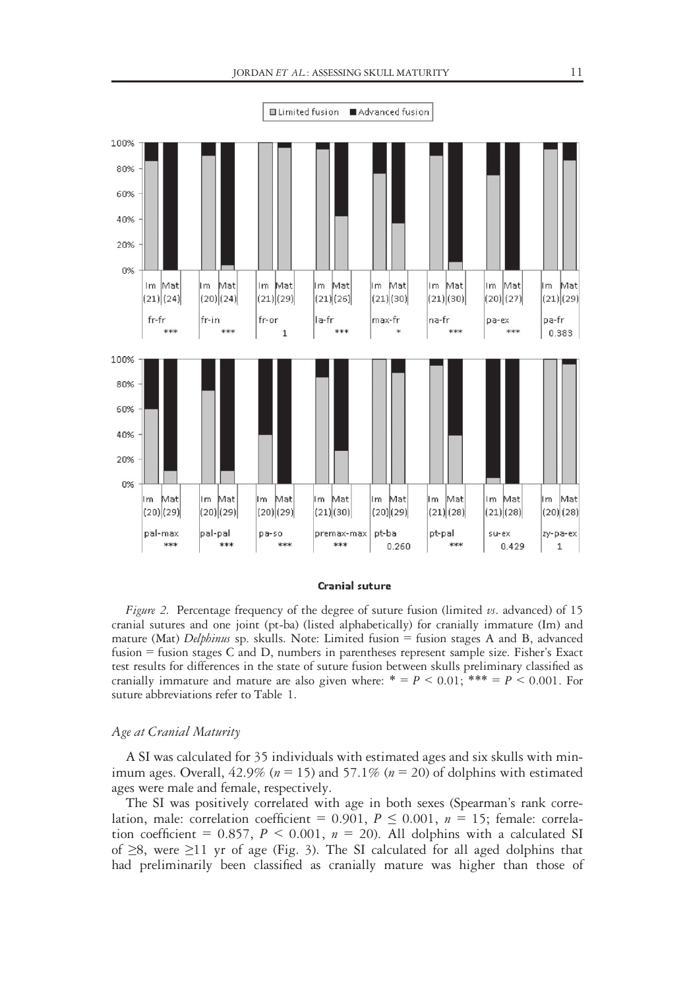

#### Cranial suture

Figure 2. Percentage frequency of the degree of suture fusion (limited vs. advanced) of 15 cranial sutures and one joint (pt-ba) (listed alphabetically) for cranially immature (Im) and mature (Mat) *Delphinus* sp. skulls. Note: Limited fusion = fusion stages A and B, advanced fusion = fusion stages C and D, numbers in parentheses represent sample size. Fisher's Exact test results for differences in the state of suture fusion between skulls preliminary classified as cranially immature and mature are also given where:  $* = P \le 0.01$ ;  $** = P \le 0.001$ . For suture abbreviations refer to Table 1.

#### Age at Cranial Maturity

A SI was calculated for 35 individuals with estimated ages and six skulls with minimum ages. Overall,  $42.9\%$  ( $n = 15$ ) and  $57.1\%$  ( $n = 20$ ) of dolphins with estimated ages were male and female, respectively.

The SI was positively correlated with age in both sexes (Spearman's rank correlation, male: correlation coefficient =  $0.901$ ,  $P \le 0.001$ ,  $n = 15$ ; female: correlation coefficient = 0.857,  $P < 0.001$ ,  $n = 20$ ). All dolphins with a calculated SI of ≥8, were ≥11 yr of age (Fig. 3). The SI calculated for all aged dolphins that had preliminarily been classified as cranially mature was higher than those of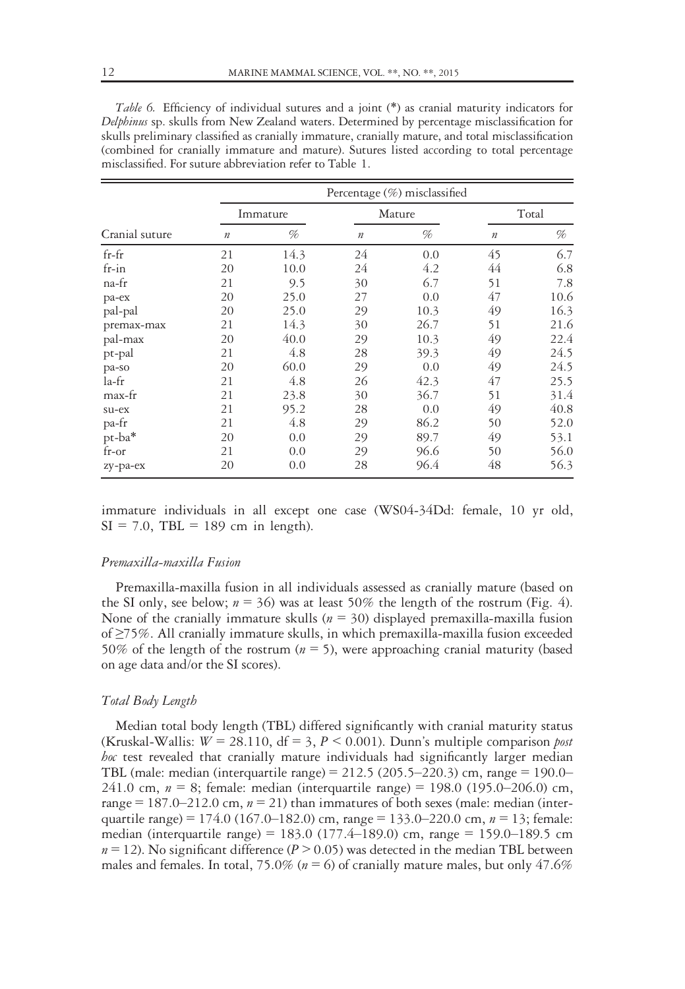|                |                  |          |                  | Percentage (%) misclassified |         |       |
|----------------|------------------|----------|------------------|------------------------------|---------|-------|
|                |                  | Immature |                  | Mature                       |         | Total |
| Cranial suture | $\boldsymbol{n}$ | %        | $\boldsymbol{n}$ | %                            | $\it n$ | %     |
| $fr-fr$        | 21               | 14.3     | 24               | 0.0                          | 45      | 6.7   |
| $fr-in$        | 20               | 10.0     | 24               | 4.2                          | 44      | 6.8   |
| na-fr          | 21               | 9.5      | 30               | 6.7                          | 51      | 7.8   |
| pa-ex          | 20               | 25.0     | 27               | 0.0                          | 47      | 10.6  |
| pal-pal        | 20               | 25.0     | 29               | 10.3                         | 49      | 16.3  |
| premax-max     | 21               | 14.3     | 30               | 26.7                         | 51      | 21.6  |
| pal-max        | 20               | 40.0     | 29               | 10.3                         | 49      | 22.4  |
| pt-pal         | 21               | 4.8      | 28               | 39.3                         | 49      | 24.5  |
| pa-so          | 20               | 60.0     | 29               | 0.0                          | 49      | 24.5  |
| la-fr          | 21               | 4.8      | 26               | 42.3                         | 47      | 25.5  |
| max-fr         | 21               | 23.8     | 30               | 36.7                         | 51      | 31.4  |
| su-ex          | 21               | 95.2     | 28               | 0.0                          | 49      | 40.8  |
| pa-fr          | 21               | 4.8      | 29               | 86.2                         | 50      | 52.0  |
| pt-ba*         | 20               | 0.0      | 29               | 89.7                         | 49      | 53.1  |
| fr-or          | 21               | 0.0      | 29               | 96.6                         | 50      | 56.0  |
| zy-pa-ex       | 20               | 0.0      | 28               | 96.4                         | 48      | 56.3  |

Table 6. Efficiency of individual sutures and a joint (\*) as cranial maturity indicators for Delphinus sp. skulls from New Zealand waters. Determined by percentage misclassification for skulls preliminary classified as cranially immature, cranially mature, and total misclassification (combined for cranially immature and mature). Sutures listed according to total percentage misclassified. For suture abbreviation refer to Table 1.

immature individuals in all except one case (WS04-34Dd: female, 10 yr old,  $SI = 7.0$ , TBL = 189 cm in length).

### Premaxilla-maxilla Fusion

Premaxilla-maxilla fusion in all individuals assessed as cranially mature (based on the SI only, see below;  $n = 36$ ) was at least 50% the length of the rostrum (Fig. 4). None of the cranially immature skulls ( $n = 30$ ) displayed premaxilla-maxilla fusion of ≥75%. All cranially immature skulls, in which premaxilla-maxilla fusion exceeded 50% of the length of the rostrum ( $n = 5$ ), were approaching cranial maturity (based on age data and/or the SI scores).

#### Total Body Length

Median total body length (TBL) differed significantly with cranial maturity status (Kruskal-Wallis:  $W = 28.110$ , df = 3, P < 0.001). Dunn's multiple comparison post hoc test revealed that cranially mature individuals had significantly larger median TBL (male: median (interquartile range) = 212.5 (205.5–220.3) cm, range = 190.0– 241.0 cm,  $n = 8$ ; female: median (interquartile range) = 198.0 (195.0–206.0) cm, range = 187.0–212.0 cm,  $n = 21$ ) than immatures of both sexes (male: median (interquartile range) = 174.0 (167.0–182.0) cm, range = 133.0–220.0 cm,  $n = 13$ ; female: median (interquartile range) = 183.0 (177.4–189.0) cm, range = 159.0–189.5 cm  $n = 12$ ). No significant difference ( $P > 0.05$ ) was detected in the median TBL between males and females. In total, 75.0% ( $n = 6$ ) of cranially mature males, but only 47.6%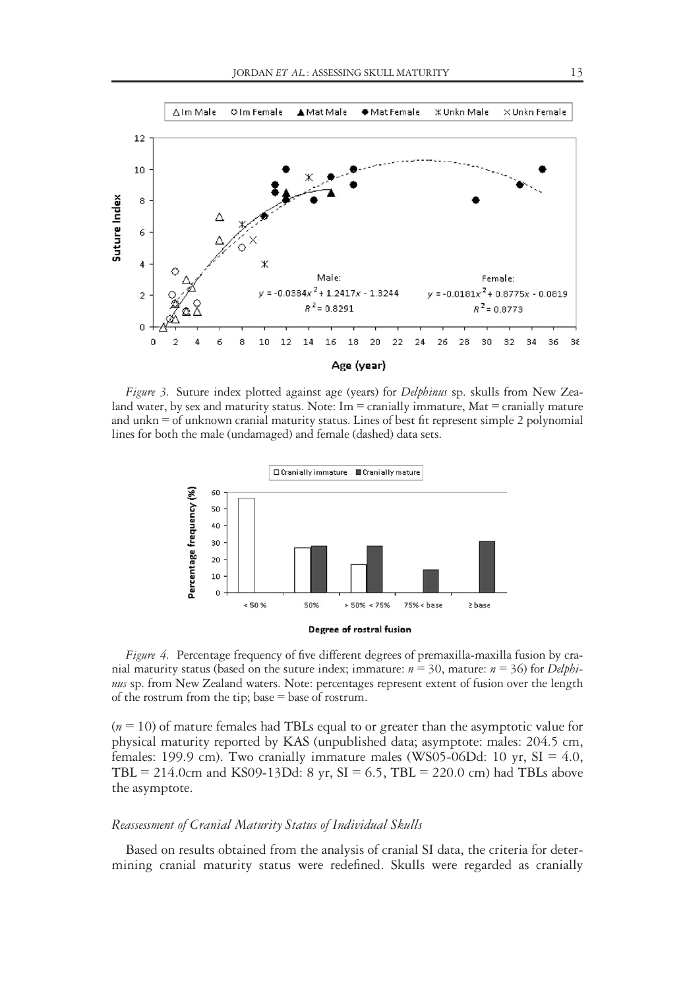

Figure 3. Suture index plotted against age (years) for *Delphinus* sp. skulls from New Zealand water, by sex and maturity status. Note:  $Im =$  cranially immature, Mat  $=$  cranially mature and unkn = of unknown cranial maturity status. Lines of best fit represent simple 2 polynomial lines for both the male (undamaged) and female (dashed) data sets.



Figure 4. Percentage frequency of five different degrees of premaxilla-maxilla fusion by cranial maturity status (based on the suture index; immature:  $n = 30$ , mature:  $n = 36$ ) for *Delphi*nus sp. from New Zealand waters. Note: percentages represent extent of fusion over the length of the rostrum from the tip; base = base of rostrum.

 $(n = 10)$  of mature females had TBLs equal to or greater than the asymptotic value for physical maturity reported by KAS (unpublished data; asymptote: males: 204.5 cm, females: 199.9 cm). Two cranially immature males (WS05-06Dd: 10 yr,  $SI = 4.0$ , TBL = 214.0cm and KS09-13Dd: 8 yr,  $SI = 6.5$ , TBL = 220.0 cm) had TBLs above the asymptote.

#### Reassessment of Cranial Maturity Status of Individual Skulls

Based on results obtained from the analysis of cranial SI data, the criteria for determining cranial maturity status were redefined. Skulls were regarded as cranially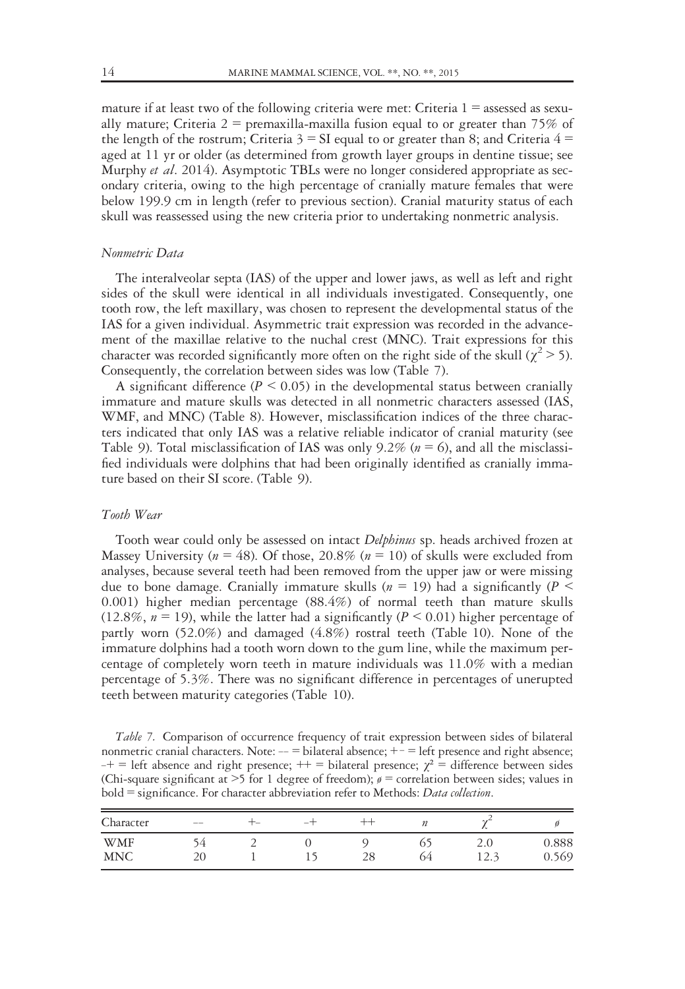mature if at least two of the following criteria were met: Criteria  $1 =$  assessed as sexually mature; Criteria  $2 =$  premaxilla-maxilla fusion equal to or greater than 75% of the length of the rostrum; Criteria  $3 = SI$  equal to or greater than 8; and Criteria  $4 =$ aged at 11 yr or older (as determined from growth layer groups in dentine tissue; see Murphy *et al.* 2014). Asymptotic TBLs were no longer considered appropriate as secondary criteria, owing to the high percentage of cranially mature females that were below 199.9 cm in length (refer to previous section). Cranial maturity status of each skull was reassessed using the new criteria prior to undertaking nonmetric analysis.

# Nonmetric Data

The interalveolar septa (IAS) of the upper and lower jaws, as well as left and right sides of the skull were identical in all individuals investigated. Consequently, one tooth row, the left maxillary, was chosen to represent the developmental status of the IAS for a given individual. Asymmetric trait expression was recorded in the advancement of the maxillae relative to the nuchal crest (MNC). Trait expressions for this character was recorded significantly more often on the right side of the skull ( $\chi^2$  > 5). Consequently, the correlation between sides was low (Table 7).

A significant difference ( $P \le 0.05$ ) in the developmental status between cranially immature and mature skulls was detected in all nonmetric characters assessed (IAS, WMF, and MNC) (Table 8). However, misclassification indices of the three characters indicated that only IAS was a relative reliable indicator of cranial maturity (see Table 9). Total misclassification of IAS was only 9.2% ( $n = 6$ ), and all the misclassified individuals were dolphins that had been originally identified as cranially immature based on their SI score. (Table 9).

#### Tooth Wear

Tooth wear could only be assessed on intact *Delphinus* sp. heads archived frozen at Massey University ( $n = 48$ ). Of those, 20.8% ( $n = 10$ ) of skulls were excluded from analyses, because several teeth had been removed from the upper jaw or were missing due to bone damage. Cranially immature skulls ( $n = 19$ ) had a significantly ( $P \le$ 0.001) higher median percentage (88.4%) of normal teeth than mature skulls (12.8%,  $n = 19$ ), while the latter had a significantly ( $P \le 0.01$ ) higher percentage of partly worn (52.0%) and damaged (4.8%) rostral teeth (Table 10). None of the immature dolphins had a tooth worn down to the gum line, while the maximum percentage of completely worn teeth in mature individuals was 11.0% with a median percentage of 5.3%. There was no significant difference in percentages of unerupted teeth between maturity categories (Table 10).

Table 7. Comparison of occurrence frequency of trait expression between sides of bilateral nonmetric cranial characters. Note: -- = bilateral absence; +- = left presence and right absence;  $-+$  = left absence and right presence;  $++$  = bilateral presence;  $\chi^2$  = difference between sides (Chi-square significant at  $>5$  for 1 degree of freedom);  $\ell =$  correlation between sides; values in  $\text{bold} = \text{significance}$ . For character abbreviation refer to Methods: *Data collection*.

| Character                | $-\!$ $\!-$ | ⊤– | -- |          |    | $\sim$                         |                |
|--------------------------|-------------|----|----|----------|----|--------------------------------|----------------|
| <b>WMF</b><br><b>MNC</b> | ١4<br>20    | -  |    | 28<br>∠∪ | 64 | 2.0<br>12 <sub>2</sub><br>14.) | 0.888<br>0.569 |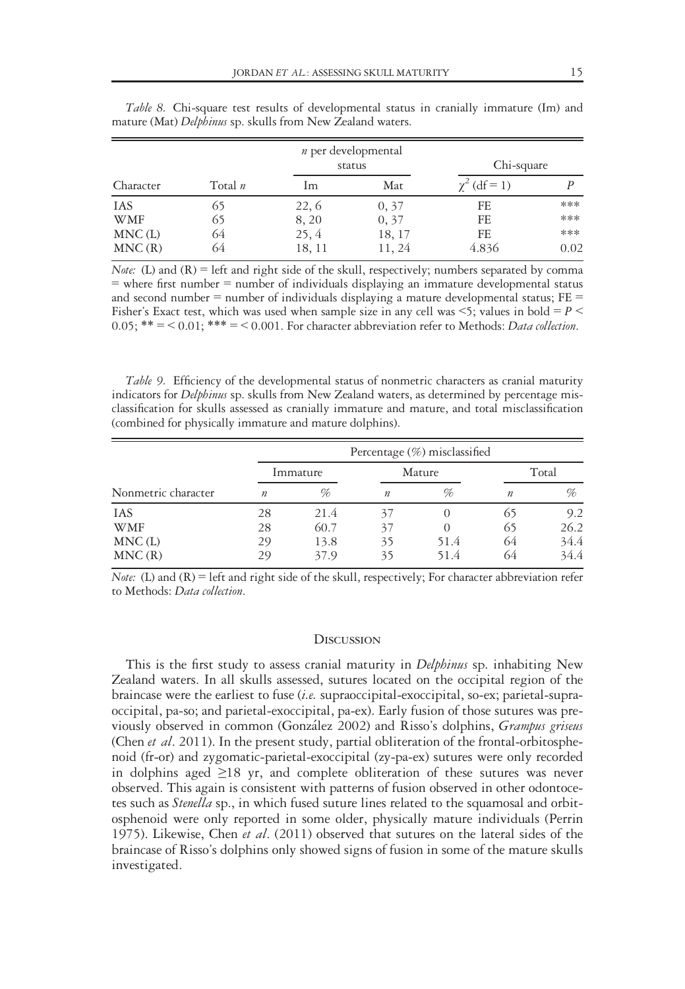|            |           | <i>n</i> per developmental<br>status |        | Chi-square          |      |
|------------|-----------|--------------------------------------|--------|---------------------|------|
| Character  | Total $n$ | lm                                   | Mat    | $\gamma^2$ (df = 1) |      |
| <b>IAS</b> | 65        | 22, 6                                | 0, 37  | FE                  | ***  |
| <b>WMF</b> | 65        | 8,20                                 | 0, 37  | FE                  | ***  |
| MNC(L)     | 64        | 25, 4                                | 18, 17 | FE                  | ***  |
| MNC(R)     | 64        | 18, 11                               | 11, 24 | 4.836               | 0.02 |

Table 8. Chi-square test results of developmental status in cranially immature (Im) and mature (Mat) Delphinus sp. skulls from New Zealand waters.

*Note:* (L) and  $(R)$  = left and right side of the skull, respectively; numbers separated by comma  $=$  where first number  $=$  number of individuals displaying an immature developmental status and second number = number of individuals displaying a mature developmental status;  $FE =$ Fisher's Exact test, which was used when sample size in any cell was  $\leq$ 5; values in bold = P  $\leq$  $0.05$ ; \*\* = < 0.01; \*\*\* = < 0.001. For character abbreviation refer to Methods: Data collection.

Table 9. Efficiency of the developmental status of nonmetric characters as cranial maturity indicators for Delphinus sp. skulls from New Zealand waters, as determined by percentage misclassification for skulls assessed as cranially immature and mature, and total misclassification (combined for physically immature and mature dolphins).

|                     |                  |      |                  | Percentage (%) misclassified |                  |       |  |
|---------------------|------------------|------|------------------|------------------------------|------------------|-------|--|
|                     | Immature         |      | Mature           |                              |                  | Total |  |
| Nonmetric character | $\boldsymbol{n}$ | %    | $\boldsymbol{n}$ | %                            | $\boldsymbol{n}$ | %     |  |
| <b>IAS</b>          | 28               | 21.4 | 37               |                              | 65               | 9.2   |  |
| <b>WMF</b>          | 28               | 60.7 | 37               |                              | 65               | 26.2  |  |
| MNC(L)              | 29               | 13.8 | 35               | 51.4                         | 64               | 34.4  |  |
| MNC(R)              | 29               | 37.9 | 35               | 51.4                         | 64               | 34.4  |  |

Note: (L) and  $(R)$  = left and right side of the skull, respectively; For character abbreviation refer to Methods: Data collection.

#### **DISCUSSION**

This is the first study to assess cranial maturity in *Delphinus* sp. inhabiting New Zealand waters. In all skulls assessed, sutures located on the occipital region of the braincase were the earliest to fuse (i.e. supraoccipital-exoccipital, so-ex; parietal-supraoccipital, pa-so; and parietal-exoccipital, pa-ex). Early fusion of those sutures was previously observed in common (González 2002) and Risso's dolphins, Grampus griseus (Chen et al. 2011). In the present study, partial obliteration of the frontal-orbitosphenoid (fr-or) and zygomatic-parietal-exoccipital (zy-pa-ex) sutures were only recorded in dolphins aged  $\geq 18$  yr, and complete obliteration of these sutures was never observed. This again is consistent with patterns of fusion observed in other odontocetes such as *Stenella* sp., in which fused suture lines related to the squamosal and orbitosphenoid were only reported in some older, physically mature individuals (Perrin 1975). Likewise, Chen et al. (2011) observed that sutures on the lateral sides of the braincase of Risso's dolphins only showed signs of fusion in some of the mature skulls investigated.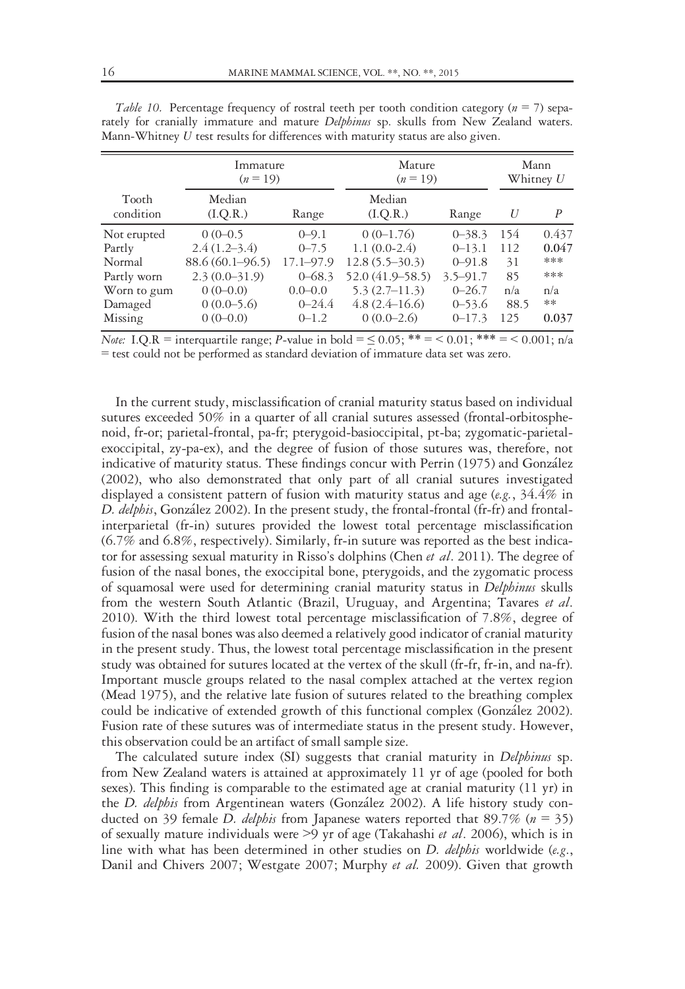|                    | Immature            |               | Mature              | Mann         |      |                  |
|--------------------|---------------------|---------------|---------------------|--------------|------|------------------|
|                    | $(n=19)$            |               | $(n=19)$            | Whitney $U$  |      |                  |
| Tooth<br>condition | Median<br>(I.Q.R.)  | Range         | Median<br>(I.Q.R.)  | Range        | U    | $\boldsymbol{P}$ |
| Not erupted        | $0(0-0.5)$          | $0 - 9.1$     | $0(0-1.76)$         | $0 - 38.3$   | 154  | 0.437            |
| Partly             | $2.4(1.2-3.4)$      | $0 - 7.5$     | $1.1(0.0-2.4)$      | $0 - 13.1$   | 112  | 0.047            |
| Normal             | $88.6(60.1 - 96.5)$ | $17.1 - 97.9$ | $12.8(5.5-30.3)$    | $0 - 91.8$   | 31   | ***              |
| Partly worn        | $2.3(0.0-31.9)$     | $0 - 68.3$    | $52.0(41.9 - 58.5)$ | $3.5 - 91.7$ | 85   | ***              |
| Worn to gum        | $0(0-0.0)$          | $0.0 - 0.0$   | $5.3(2.7-11.3)$     | $0 - 26.7$   | n/a  | n/a              |
| Damaged            | $0(0.0-5.6)$        | $0 - 24.4$    | $4.8(2.4 - 16.6)$   | $0 - 53.6$   | 88.5 | **               |
| Missing            | $0(0-0.0)$          | $0 - 1.2$     | $0(0.0-2.6)$        | $0 - 17.3$   | 125  | 0.037            |

Table 10. Percentage frequency of rostral teeth per tooth condition category ( $n = 7$ ) separately for cranially immature and mature *Delphinus* sp. skulls from New Zealand waters. Mann-Whitney  $U$  test results for differences with maturity status are also given.

Note: I.Q.R = interquartile range; P-value in bold =  $\leq 0.05$ ; \*\* =  $\leq 0.01$ ; \*\* =  $\leq 0.001$ ; n/a = test could not be performed as standard deviation of immature data set was zero.

In the current study, misclassification of cranial maturity status based on individual sutures exceeded 50% in a quarter of all cranial sutures assessed (frontal-orbitosphenoid, fr-or; parietal-frontal, pa-fr; pterygoid-basioccipital, pt-ba; zygomatic-parietalexoccipital, zy-pa-ex), and the degree of fusion of those sutures was, therefore, not indicative of maturity status. These findings concur with Perrin (1975) and González (2002), who also demonstrated that only part of all cranial sutures investigated displayed a consistent pattern of fusion with maturity status and age (e.g., 34.4% in D. delphis, González 2002). In the present study, the frontal-frontal (fr-fr) and frontalinterparietal (fr-in) sutures provided the lowest total percentage misclassification (6.7% and 6.8%, respectively). Similarly, fr-in suture was reported as the best indicator for assessing sexual maturity in Risso's dolphins (Chen et al. 2011). The degree of fusion of the nasal bones, the exoccipital bone, pterygoids, and the zygomatic process of squamosal were used for determining cranial maturity status in Delphinus skulls from the western South Atlantic (Brazil, Uruguay, and Argentina; Tavares et al. 2010). With the third lowest total percentage misclassification of 7.8%, degree of fusion of the nasal bones was also deemed a relatively good indicator of cranial maturity in the present study. Thus, the lowest total percentage misclassification in the present study was obtained for sutures located at the vertex of the skull (fr-fr, fr-in, and na-fr). Important muscle groups related to the nasal complex attached at the vertex region (Mead 1975), and the relative late fusion of sutures related to the breathing complex could be indicative of extended growth of this functional complex (González 2002). Fusion rate of these sutures was of intermediate status in the present study. However, this observation could be an artifact of small sample size.

The calculated suture index (SI) suggests that cranial maturity in *Delphinus* sp. from New Zealand waters is attained at approximately 11 yr of age (pooled for both sexes). This finding is comparable to the estimated age at cranial maturity (11 yr) in the D. delphis from Argentinean waters (González 2002). A life history study conducted on 39 female *D. delphis* from Japanese waters reported that 89.7% ( $n = 35$ ) of sexually mature individuals were >9 yr of age (Takahashi et al. 2006), which is in line with what has been determined in other studies on *D. delphis* worldwide (e.g., Danil and Chivers 2007; Westgate 2007; Murphy et al. 2009). Given that growth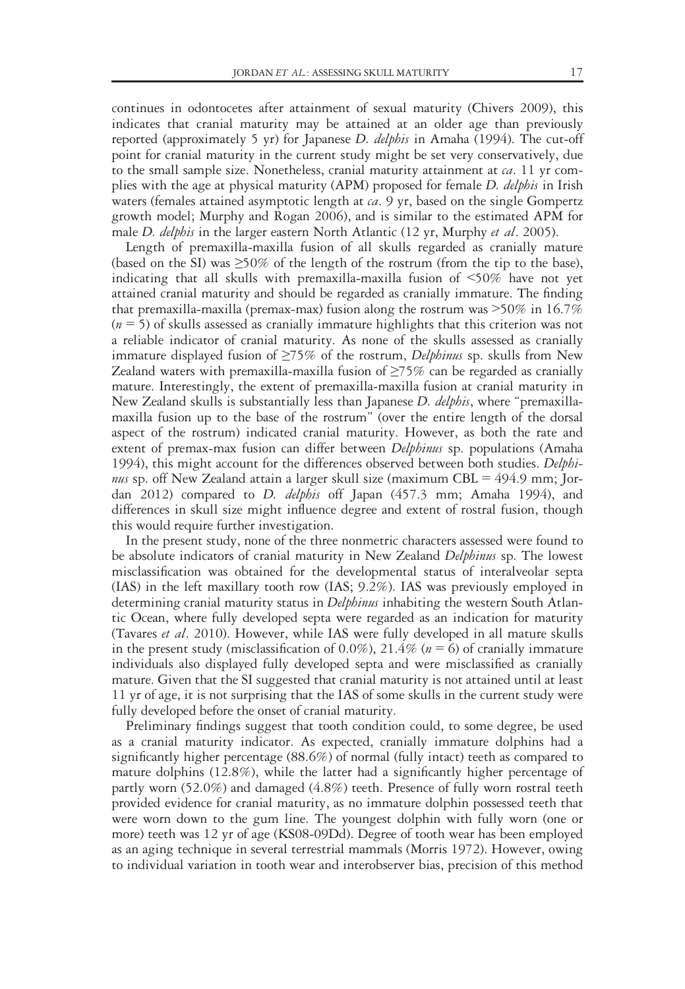continues in odontocetes after attainment of sexual maturity (Chivers 2009), this indicates that cranial maturity may be attained at an older age than previously reported (approximately 5 yr) for Japanese D. delphis in Amaha (1994). The cut-off point for cranial maturity in the current study might be set very conservatively, due to the small sample size. Nonetheless, cranial maturity attainment at  $ca$ . 11 yr complies with the age at physical maturity (APM) proposed for female *D. delphis* in Irish waters (females attained asymptotic length at  $ca$ . 9 yr, based on the single Gompertz growth model; Murphy and Rogan 2006), and is similar to the estimated APM for male D. delphis in the larger eastern North Atlantic (12 yr, Murphy et al. 2005).

Length of premaxilla-maxilla fusion of all skulls regarded as cranially mature (based on the SI) was  $\geq$ 50% of the length of the rostrum (from the tip to the base), indicating that all skulls with premaxilla-maxilla fusion of <50% have not yet attained cranial maturity and should be regarded as cranially immature. The finding that premaxilla-maxilla (premax-max) fusion along the rostrum was >50% in 16.7%  $(n = 5)$  of skulls assessed as cranially immature highlights that this criterion was not a reliable indicator of cranial maturity. As none of the skulls assessed as cranially immature displayed fusion of  $\geq 75\%$  of the rostrum, Delphinus sp. skulls from New Zealand waters with premaxilla-maxilla fusion of  $\geq$ 75% can be regarded as cranially mature. Interestingly, the extent of premaxilla-maxilla fusion at cranial maturity in New Zealand skulls is substantially less than Japanese *D. delphis*, where "premaxillamaxilla fusion up to the base of the rostrum" (over the entire length of the dorsal aspect of the rostrum) indicated cranial maturity. However, as both the rate and extent of premax-max fusion can differ between *Delphinus* sp. populations (Amaha 1994), this might account for the differences observed between both studies. Delphinus sp. off New Zealand attain a larger skull size (maximum CBL =  $494.9$  mm; Jordan 2012) compared to *D. delphis* off Japan (457.3 mm; Amaha 1994), and differences in skull size might influence degree and extent of rostral fusion, though this would require further investigation.

In the present study, none of the three nonmetric characters assessed were found to be absolute indicators of cranial maturity in New Zealand Delphinus sp. The lowest misclassification was obtained for the developmental status of interalveolar septa (IAS) in the left maxillary tooth row (IAS; 9.2%). IAS was previously employed in determining cranial maturity status in *Delphinus* inhabiting the western South Atlantic Ocean, where fully developed septa were regarded as an indication for maturity (Tavares et al. 2010). However, while IAS were fully developed in all mature skulls in the present study (misclassification of 0.0%), 21.4% ( $n = 6$ ) of cranially immature individuals also displayed fully developed septa and were misclassified as cranially mature. Given that the SI suggested that cranial maturity is not attained until at least 11 yr of age, it is not surprising that the IAS of some skulls in the current study were fully developed before the onset of cranial maturity.

Preliminary findings suggest that tooth condition could, to some degree, be used as a cranial maturity indicator. As expected, cranially immature dolphins had a significantly higher percentage (88.6%) of normal (fully intact) teeth as compared to mature dolphins (12.8%), while the latter had a significantly higher percentage of partly worn (52.0%) and damaged (4.8%) teeth. Presence of fully worn rostral teeth provided evidence for cranial maturity, as no immature dolphin possessed teeth that were worn down to the gum line. The youngest dolphin with fully worn (one or more) teeth was 12 yr of age (KS08-09Dd). Degree of tooth wear has been employed as an aging technique in several terrestrial mammals (Morris 1972). However, owing to individual variation in tooth wear and interobserver bias, precision of this method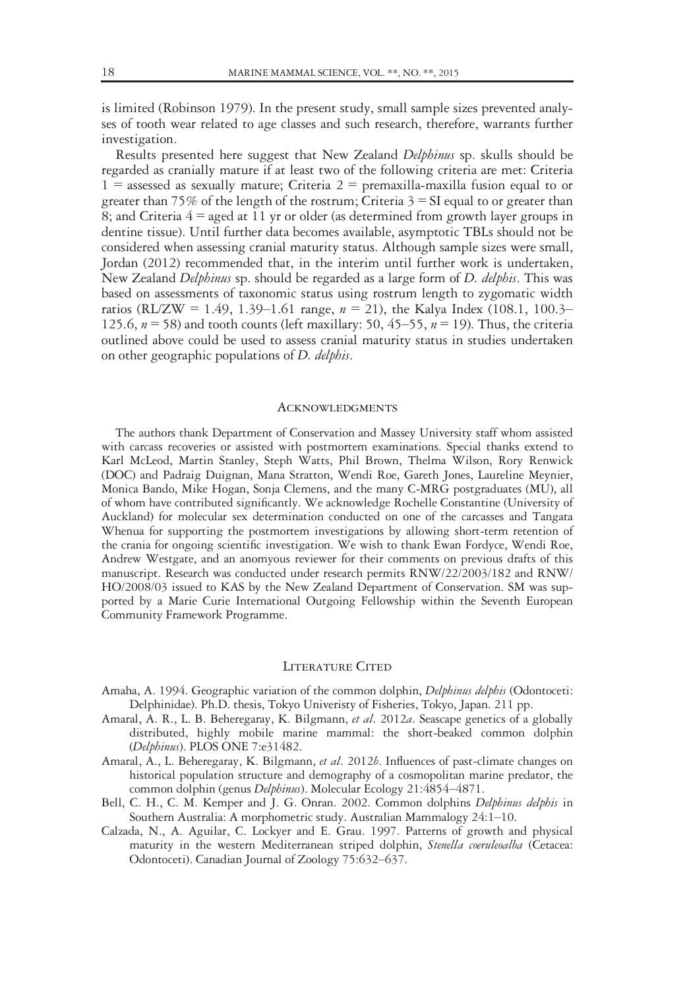is limited (Robinson 1979). In the present study, small sample sizes prevented analyses of tooth wear related to age classes and such research, therefore, warrants further investigation.

Results presented here suggest that New Zealand Delphinus sp. skulls should be regarded as cranially mature if at least two of the following criteria are met: Criteria  $1 =$  assessed as sexually mature; Criteria  $2 =$  premaxilla-maxilla fusion equal to or greater than 75% of the length of the rostrum; Criteria  $3 = SI$  equal to or greater than 8; and Criteria  $4 =$  aged at 11 yr or older (as determined from growth layer groups in dentine tissue). Until further data becomes available, asymptotic TBLs should not be considered when assessing cranial maturity status. Although sample sizes were small, Jordan (2012) recommended that, in the interim until further work is undertaken, New Zealand Delphinus sp. should be regarded as a large form of D. delphis. This was based on assessments of taxonomic status using rostrum length to zygomatic width ratios (RL/ZW = 1.49, 1.39–1.61 range,  $n = 21$ ), the Kalya Index (108.1, 100.3– 125.6,  $n = 58$ ) and tooth counts (left maxillary: 50, 45–55,  $n = 19$ ). Thus, the criteria outlined above could be used to assess cranial maturity status in studies undertaken on other geographic populations of *D. delphis*.

#### **ACKNOWLEDGMENTS**

The authors thank Department of Conservation and Massey University staff whom assisted with carcass recoveries or assisted with postmortem examinations. Special thanks extend to Karl McLeod, Martin Stanley, Steph Watts, Phil Brown, Thelma Wilson, Rory Renwick (DOC) and Padraig Duignan, Mana Stratton, Wendi Roe, Gareth Jones, Laureline Meynier, Monica Bando, Mike Hogan, Sonja Clemens, and the many C-MRG postgraduates (MU), all of whom have contributed significantly. We acknowledge Rochelle Constantine (University of Auckland) for molecular sex determination conducted on one of the carcasses and Tangata Whenua for supporting the postmortem investigations by allowing short-term retention of the crania for ongoing scientific investigation. We wish to thank Ewan Fordyce, Wendi Roe, Andrew Westgate, and an anomyous reviewer for their comments on previous drafts of this manuscript. Research was conducted under research permits RNW/22/2003/182 and RNW/ HO/2008/03 issued to KAS by the New Zealand Department of Conservation. SM was supported by a Marie Curie International Outgoing Fellowship within the Seventh European Community Framework Programme.

#### LITERATURE CITED

- Amaha, A. 1994. Geographic variation of the common dolphin, Delphinus delphis (Odontoceti: Delphinidae). Ph.D. thesis, Tokyo Univeristy of Fisheries, Tokyo, Japan. 211 pp.
- Amaral, A. R., L. B. Beheregaray, K. Bilgmann, et al. 2012a. Seascape genetics of a globally distributed, highly mobile marine mammal: the short-beaked common dolphin (Delphinus). PLOS ONE 7:e31482.
- Amaral, A., L. Beheregaray, K. Bilgmann, et al. 2012b. Influences of past-climate changes on historical population structure and demography of a cosmopolitan marine predator, the common dolphin (genus Delphinus). Molecular Ecology 21:4854–4871.
- Bell, C. H., C. M. Kemper and J. G. Onran. 2002. Common dolphins *Delphinus delphis* in Southern Australia: A morphometric study. Australian Mammalogy 24:1–10.
- Calzada, N., A. Aguilar, C. Lockyer and E. Grau. 1997. Patterns of growth and physical maturity in the western Mediterranean striped dolphin, Stenella coeruleoalba (Cetacea: Odontoceti). Canadian Journal of Zoology 75:632–637.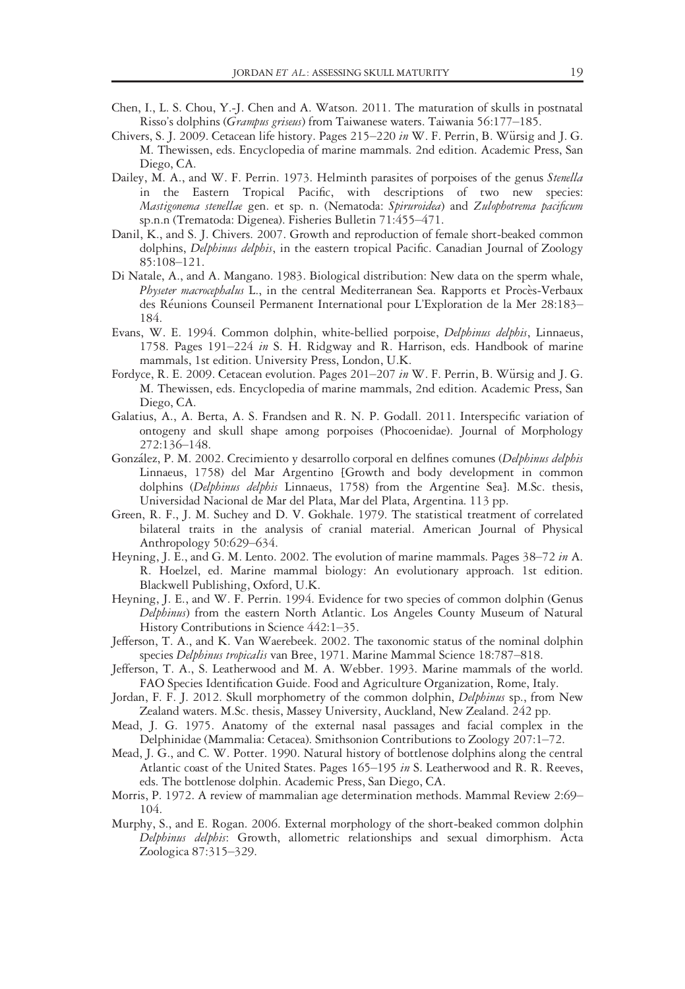- Chen, I., L. S. Chou, Y.-J. Chen and A. Watson. 2011. The maturation of skulls in postnatal Risso's dolphins (Grampus griseus) from Taiwanese waters. Taiwania 56:177–185.
- Chivers, S. J. 2009. Cetacean life history. Pages 215–220 in W. F. Perrin, B. Würsig and J. G. M. Thewissen, eds. Encyclopedia of marine mammals. 2nd edition. Academic Press, San Diego, CA.
- Dailey, M. A., and W. F. Perrin. 1973. Helminth parasites of porpoises of the genus Stenella in the Eastern Tropical Pacific, with descriptions of two new species: Mastigonema stenellae gen. et sp. n. (Nematoda: Spiruroidea) and Zulophotrema pacificum sp.n.n (Trematoda: Digenea). Fisheries Bulletin 71:455–471.
- Danil, K., and S. J. Chivers. 2007. Growth and reproduction of female short-beaked common dolphins, Delphinus delphis, in the eastern tropical Pacific. Canadian Journal of Zoology 85:108–121.
- Di Natale, A., and A. Mangano. 1983. Biological distribution: New data on the sperm whale, Physeter macrocephalus L., in the central Mediterranean Sea. Rapports et Procès-Verbaux des Réunions Counseil Permanent International pour L'Exploration de la Mer 28:183-184.
- Evans, W. E. 1994. Common dolphin, white-bellied porpoise, *Delphinus delphis*, Linnaeus, 1758. Pages 191–224 in S. H. Ridgway and R. Harrison, eds. Handbook of marine mammals, 1st edition. University Press, London, U.K.
- Fordyce, R. E. 2009. Cetacean evolution. Pages  $201-207$  in W. F. Perrin, B. Würsig and J. G. M. Thewissen, eds. Encyclopedia of marine mammals, 2nd edition. Academic Press, San Diego, CA.
- Galatius, A., A. Berta, A. S. Frandsen and R. N. P. Godall. 2011. Interspecific variation of ontogeny and skull shape among porpoises (Phocoenidae). Journal of Morphology 272:136–148.
- González, P. M. 2002. Crecimiento y desarrollo corporal en delfines comunes (Delphinus delphis Linnaeus, 1758) del Mar Argentino [Growth and body development in common dolphins (Delphinus delphis Linnaeus, 1758) from the Argentine Sea]. M.Sc. thesis, Universidad Nacional de Mar del Plata, Mar del Plata, Argentina. 113 pp.
- Green, R. F., J. M. Suchey and D. V. Gokhale. 1979. The statistical treatment of correlated bilateral traits in the analysis of cranial material. American Journal of Physical Anthropology 50:629–634.
- Heyning, J. E., and G. M. Lento. 2002. The evolution of marine mammals. Pages 38–72 in A. R. Hoelzel, ed. Marine mammal biology: An evolutionary approach. 1st edition. Blackwell Publishing, Oxford, U.K.
- Heyning, J. E., and W. F. Perrin. 1994. Evidence for two species of common dolphin (Genus Delphinus) from the eastern North Atlantic. Los Angeles County Museum of Natural History Contributions in Science 442:1–35.
- Jefferson, T. A., and K. Van Waerebeek. 2002. The taxonomic status of the nominal dolphin species Delphinus tropicalis van Bree, 1971. Marine Mammal Science 18:787–818.
- Jefferson, T. A., S. Leatherwood and M. A. Webber. 1993. Marine mammals of the world. FAO Species Identification Guide. Food and Agriculture Organization, Rome, Italy.
- Jordan, F. F. J. 2012. Skull morphometry of the common dolphin, *Delphinus* sp., from New Zealand waters. M.Sc. thesis, Massey University, Auckland, New Zealand. 242 pp.
- Mead, J. G. 1975. Anatomy of the external nasal passages and facial complex in the Delphinidae (Mammalia: Cetacea). Smithsonion Contributions to Zoology 207:1–72.
- Mead, J. G., and C. W. Potter. 1990. Natural history of bottlenose dolphins along the central Atlantic coast of the United States. Pages 165–195 in S. Leatherwood and R. R. Reeves, eds. The bottlenose dolphin. Academic Press, San Diego, CA.
- Morris, P. 1972. A review of mammalian age determination methods. Mammal Review 2:69– 104.
- Murphy, S., and E. Rogan. 2006. External morphology of the short-beaked common dolphin Delphinus delphis: Growth, allometric relationships and sexual dimorphism. Acta Zoologica 87:315–329.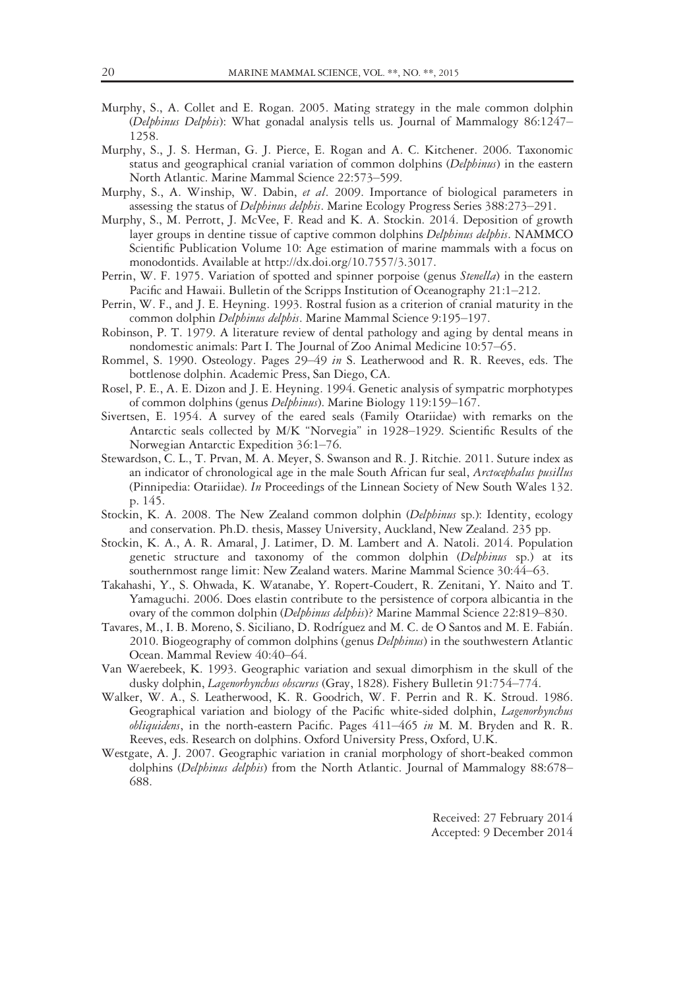- Murphy, S., A. Collet and E. Rogan. 2005. Mating strategy in the male common dolphin (Delphinus Delphis): What gonadal analysis tells us. Journal of Mammalogy 86:1247– 1258.
- Murphy, S., J. S. Herman, G. J. Pierce, E. Rogan and A. C. Kitchener. 2006. Taxonomic status and geographical cranial variation of common dolphins (Delphinus) in the eastern North Atlantic. Marine Mammal Science 22:573–599.
- Murphy, S., A. Winship, W. Dabin, et al. 2009. Importance of biological parameters in assessing the status of Delphinus delphis. Marine Ecology Progress Series 388:273-291.
- Murphy, S., M. Perrott, J. McVee, F. Read and K. A. Stockin. 2014. Deposition of growth layer groups in dentine tissue of captive common dolphins Delphinus delphis. NAMMCO Scientific Publication Volume 10: Age estimation of marine mammals with a focus on monodontids. Available at [http://dx.doi.org/10.7557/3.3017.](http://dx.doi.org/10.7557/3.3017)
- Perrin, W. F. 1975. Variation of spotted and spinner porpoise (genus *Stenella*) in the eastern Pacific and Hawaii. Bulletin of the Scripps Institution of Oceanography 21:1–212.
- Perrin, W. F., and J. E. Heyning. 1993. Rostral fusion as a criterion of cranial maturity in the common dolphin Delphinus delphis. Marine Mammal Science 9:195-197.
- Robinson, P. T. 1979. A literature review of dental pathology and aging by dental means in nondomestic animals: Part I. The Journal of Zoo Animal Medicine 10:57–65.
- Rommel, S. 1990. Osteology. Pages 29–49 in S. Leatherwood and R. R. Reeves, eds. The bottlenose dolphin. Academic Press, San Diego, CA.
- Rosel, P. E., A. E. Dizon and J. E. Heyning. 1994. Genetic analysis of sympatric morphotypes of common dolphins (genus Delphinus). Marine Biology 119:159–167.
- Sivertsen, E. 1954. A survey of the eared seals (Family Otariidae) with remarks on the Antarctic seals collected by M/K "Norvegia" in 1928–1929. Scientific Results of the Norwegian Antarctic Expedition 36:1–76.
- Stewardson, C. L., T. Prvan, M. A. Meyer, S. Swanson and R. J. Ritchie. 2011. Suture index as an indicator of chronological age in the male South African fur seal, Arctocephalus pusillus (Pinnipedia: Otariidae). In Proceedings of the Linnean Society of New South Wales 132. p. 145.
- Stockin, K. A. 2008. The New Zealand common dolphin (Delphinus sp.): Identity, ecology and conservation. Ph.D. thesis, Massey University, Auckland, New Zealand. 235 pp.
- Stockin, K. A., A. R. Amaral, J. Latimer, D. M. Lambert and A. Natoli. 2014. Population genetic structure and taxonomy of the common dolphin (Delphinus sp.) at its southernmost range limit: New Zealand waters. Marine Mammal Science 30:44–63.
- Takahashi, Y., S. Ohwada, K. Watanabe, Y. Ropert-Coudert, R. Zenitani, Y. Naito and T. Yamaguchi. 2006. Does elastin contribute to the persistence of corpora albicantia in the ovary of the common dolphin (Delphinus delphis)? Marine Mammal Science 22:819–830.
- Tavares, M., I. B. Moreno, S. Siciliano, D. Rodríguez and M. C. de O Santos and M. E. Fabián. 2010. Biogeography of common dolphins (genus *Delphinus*) in the southwestern Atlantic Ocean. Mammal Review 40:40–64.
- Van Waerebeek, K. 1993. Geographic variation and sexual dimorphism in the skull of the dusky dolphin, Lagenorhynchus obscurus (Gray, 1828). Fishery Bulletin 91:754–774.
- Walker, W. A., S. Leatherwood, K. R. Goodrich, W. F. Perrin and R. K. Stroud. 1986. Geographical variation and biology of the Pacific white-sided dolphin, *Lagenorhynchus* obliquidens, in the north-eastern Pacific. Pages  $411-465$  in M. M. Bryden and R. R. Reeves, eds. Research on dolphins. Oxford University Press, Oxford, U.K.
- Westgate, A. J. 2007. Geographic variation in cranial morphology of short-beaked common dolphins (Delphinus delphis) from the North Atlantic. Journal of Mammalogy 88:678– 688.

Received: 27 February 2014 Accepted: 9 December 2014